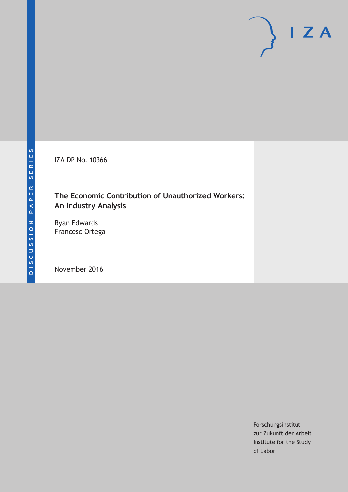IZA DP No. 10366

## **The Economic Contribution of Unauthorized Workers: An Industry Analysis**

Ryan Edwards Francesc Ortega

November 2016

Forschungsinstitut zur Zukunft der Arbeit Institute for the Study of Labor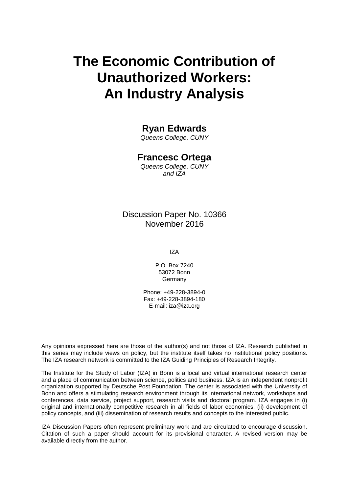# **The Economic Contribution of Unauthorized Workers: An Industry Analysis**

## **Ryan Edwards**

*Queens College, CUNY*

### **Francesc Ortega**

*Queens College, CUNY and IZA*

### Discussion Paper No. 10366 November 2016

IZA

P.O. Box 7240 53072 Bonn Germany

Phone: +49-228-3894-0 Fax: +49-228-3894-180 E-mail: iza@iza.org

Any opinions expressed here are those of the author(s) and not those of IZA. Research published in this series may include views on policy, but the institute itself takes no institutional policy positions. The IZA research network is committed to the IZA Guiding Principles of Research Integrity.

The Institute for the Study of Labor (IZA) in Bonn is a local and virtual international research center and a place of communication between science, politics and business. IZA is an independent nonprofit organization supported by Deutsche Post Foundation. The center is associated with the University of Bonn and offers a stimulating research environment through its international network, workshops and conferences, data service, project support, research visits and doctoral program. IZA engages in (i) original and internationally competitive research in all fields of labor economics, (ii) development of policy concepts, and (iii) dissemination of research results and concepts to the interested public.

IZA Discussion Papers often represent preliminary work and are circulated to encourage discussion. Citation of such a paper should account for its provisional character. A revised version may be available directly from the author.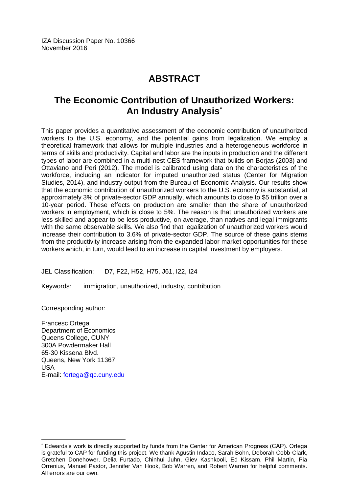## **ABSTRACT**

## **The Economic Contribution of Unauthorized Workers: An Industry Analysis\***

This paper provides a quantitative assessment of the economic contribution of unauthorized workers to the U.S. economy, and the potential gains from legalization. We employ a theoretical framework that allows for multiple industries and a heterogeneous workforce in terms of skills and productivity. Capital and labor are the inputs in production and the different types of labor are combined in a multi-nest CES framework that builds on Borjas (2003) and Ottaviano and Peri (2012). The model is calibrated using data on the characteristics of the workforce, including an indicator for imputed unauthorized status (Center for Migration Studies, 2014), and industry output from the Bureau of Economic Analysis. Our results show that the economic contribution of unauthorized workers to the U.S. economy is substantial, at approximately 3% of private-sector GDP annually, which amounts to close to \$5 trillion over a 10-year period. These effects on production are smaller than the share of unauthorized workers in employment, which is close to 5%. The reason is that unauthorized workers are less skilled and appear to be less productive, on average, than natives and legal immigrants with the same observable skills. We also find that legalization of unauthorized workers would increase their contribution to 3.6% of private-sector GDP. The source of these gains stems from the productivity increase arising from the expanded labor market opportunities for these workers which, in turn, would lead to an increase in capital investment by employers.

JEL Classification: D7, F22, H52, H75, J61, I22, I24

Keywords: immigration, unauthorized, industry, contribution

Corresponding author:

 $\overline{a}$ 

Francesc Ortega Department of Economics Queens College, CUNY 300A Powdermaker Hall 65-30 Kissena Blvd. Queens, New York 11367 USA E-mail: [fortega@qc.cuny.edu](mailto:fortega@qc.cuny.edu)

<sup>\*</sup> Edwards's work is directly supported by funds from the Center for American Progress (CAP). Ortega is grateful to CAP for funding this project. We thank Agustin Indaco, Sarah Bohn, Deborah Cobb-Clark, Gretchen Donehower, Delia Furtado, Chinhui Juhn, Giev Kashkooli, Ed Kissam, Phil Martin, Pia Orrenius, Manuel Pastor, Jennifer Van Hook, Bob Warren, and Robert Warren for helpful comments. All errors are our own.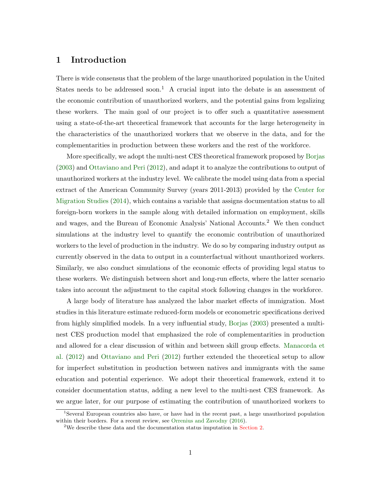#### 1 Introduction

There is wide consensus that the problem of the large unauthorized population in the United States needs to be addressed soon.<sup>1</sup> A crucial input into the debate is an assessment of the economic contribution of unauthorized workers, and the potential gains from legalizing these workers. The main goal of our project is to offer such a quantitative assessment using a state-of-the-art theoretical framework that accounts for the large heterogeneity in the characteristics of the unauthorized workers that we observe in the data, and for the complementarities in production between these workers and the rest of the workforce.

More specifically, we adopt the multi-nest CES theoretical framework proposed by [Borjas](#page-30-0) [\(2003\)](#page-30-0) and [Ottaviano and Peri](#page-31-0) [\(2012\)](#page-31-0), and adapt it to analyze the contributions to output of unauthorized workers at the industry level. We calibrate the model using data from a special extract of the American Community Survey (years 2011-2013) provided by the [Center for](#page-30-1) [Migration Studies](#page-30-1) [\(2014\)](#page-30-1), which contains a variable that assigns documentation status to all foreign-born workers in the sample along with detailed information on employment, skills and wages, and the Bureau of Economic Analysis' National Accounts.<sup>2</sup> We then conduct simulations at the industry level to quantify the economic contribution of unauthorized workers to the level of production in the industry. We do so by comparing industry output as currently observed in the data to output in a counterfactual without unauthorized workers. Similarly, we also conduct simulations of the economic effects of providing legal status to these workers. We distinguish between short and long-run effects, where the latter scenario takes into account the adjustment to the capital stock following changes in the workforce.

A large body of literature has analyzed the labor market effects of immigration. Most studies in this literature estimate reduced-form models or econometric specifications derived from highly simplified models. In a very influential study, [Borjas](#page-30-0) [\(2003\)](#page-30-0) presented a multinest CES production model that emphasized the role of complementarities in production and allowed for a clear discussion of within and between skill group effects. [Manacorda et](#page-31-1) [al.](#page-31-1) [\(2012\)](#page-31-1) and [Ottaviano and Peri](#page-31-0) [\(2012\)](#page-31-0) further extended the theoretical setup to allow for imperfect substitution in production between natives and immigrants with the same education and potential experience. We adopt their theoretical framework, extend it to consider documentation status, adding a new level to the multi-nest CES framework. As we argue later, for our purpose of estimating the contribution of unauthorized workers to

<sup>1</sup>Several European countries also have, or have had in the recent past, a large unauthorized population within their borders. For a recent review, see [Orrenius and Zavodny](#page-31-2) [\(2016\)](#page-31-2).

<sup>&</sup>lt;sup>2</sup>We describe these data and the documentation status imputation in [Section 2.](#page-6-0)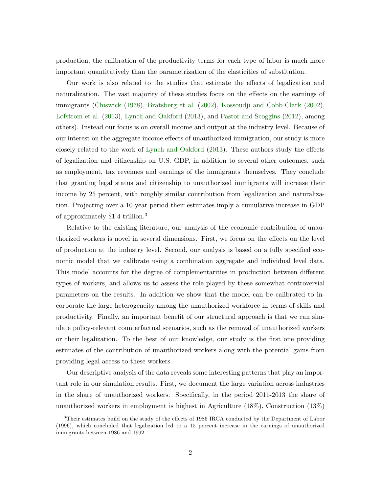production, the calibration of the productivity terms for each type of labor is much more important quantitatively than the parametrization of the elasticities of substitution.

Our work is also related to the studies that estimate the effects of legalization and naturalization. The vast majority of these studies focus on the effects on the earnings of immigrants [\(Chiswick](#page-30-2) [\(1978\)](#page-30-2), [Bratsberg et al.](#page-30-3) [\(2002\)](#page-30-3), [Kossoudji and Cobb-Clark](#page-30-4) [\(2002\)](#page-30-4), [Lofstrom et al.](#page-31-3) [\(2013\)](#page-31-3), [Lynch and Oakford](#page-31-4) [\(2013\)](#page-31-4), and [Pastor and Scoggins](#page-31-5) [\(2012\)](#page-31-5), among others). Instead our focus is on overall income and output at the industry level. Because of our interest on the aggregate income effects of unauthorized immigration, our study is more closely related to the work of [Lynch and Oakford](#page-31-4) [\(2013\)](#page-31-4). These authors study the effects of legalization and citizenship on U.S. GDP, in addition to several other outcomes, such as employment, tax revenues and earnings of the immigrants themselves. They conclude that granting legal status and citizenship to unauthorized immigrants will increase their income by 25 percent, with roughly similar contribution from legalization and naturalization. Projecting over a 10-year period their estimates imply a cumulative increase in GDP of approximately \$1.4 trillion.<sup>3</sup>

Relative to the existing literature, our analysis of the economic contribution of unauthorized workers is novel in several dimensions. First, we focus on the effects on the level of production at the industry level. Second, our analysis is based on a fully specified economic model that we calibrate using a combination aggregate and individual level data. This model accounts for the degree of complementarities in production between different types of workers, and allows us to assess the role played by these somewhat controversial parameters on the results. In addition we show that the model can be calibrated to incorporate the large heterogeneity among the unauthorized workforce in terms of skills and productivity. Finally, an important benefit of our structural approach is that we can simulate policy-relevant counterfactual scenarios, such as the removal of unauthorized workers or their legalization. To the best of our knowledge, our study is the first one providing estimates of the contribution of unauthorized workers along with the potential gains from providing legal access to these workers.

Our descriptive analysis of the data reveals some interesting patterns that play an important role in our simulation results. First, we document the large variation across industries in the share of unauthorized workers. Specifically, in the period 2011-2013 the share of unauthorized workers in employment is highest in Agriculture (18%), Construction (13%)

<sup>&</sup>lt;sup>3</sup>Their estimates build on the study of the effects of 1986 IRCA conducted by the Department of Labor (1996), which concluded that legalization led to a 15 percent increase in the earnings of unauthorized immigrants between 1986 and 1992.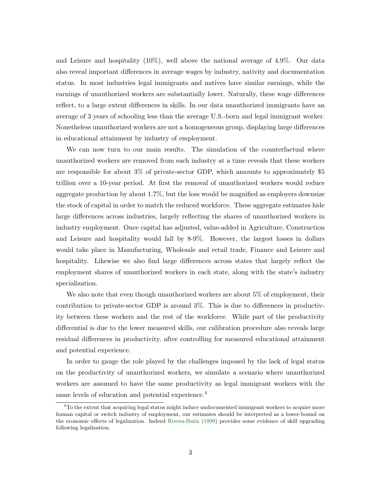and Leisure and hospitality (10%), well above the national average of 4.9%. Our data also reveal important differences in average wages by industry, nativity and documentation status. In most industries legal immigrants and natives have similar earnings, while the earnings of unauthorized workers are substantially lower. Naturally, these wage differences reflect, to a large extent differences in skills. In our data unauthorized immigrants have an average of 3 years of schooling less than the average U.S.-born and legal immigrant worker. Nonetheless unauthorized workers are not a homogeneous group, displaying large differences in educational attainment by industry of employment.

We can now turn to our main results. The simulation of the counterfactual where unauthorized workers are removed from each industry at a time reveals that these workers are responsible for about 3% of private-sector GDP, which amounts to approximately \$5 trillion over a 10-year period. At first the removal of unauthorized workers would reduce aggregate production by about 1.7%, but the loss would be magnified as employers downsize the stock of capital in order to match the reduced workforce. These aggregate estimates hide large differences across industries, largely reflecting the shares of unauthorized workers in industry employment. Once capital has adjusted, value-added in Agriculture, Construction and Leisure and hospitality would fall by 8-9%. However, the largest losses in dollars would take place in Manufacturing, Wholesale and retail trade, Finance and Leisure and hospitality. Likewise we also find large differences across states that largely reflect the employment shares of unauthorized workers in each state, along with the state's industry specialization.

We also note that even though unauthorized workers are about 5% of employment, their contribution to private-sector GDP is around 3%. This is due to differences in productivity between these workers and the rest of the workforce. While part of the productivity differential is due to the lower measured skills, our calibration procedure also reveals large residual differences in productivity, after controlling for measured educational attainment and potential experience.

In order to gauge the role played by the challenges imposed by the lack of legal status on the productivity of unauthorized workers, we simulate a scenario where unauthorized workers are assumed to have the same productivity as legal immigrant workers with the same levels of education and potential experience.<sup>4</sup>

 ${}^{4}$ To the extent that acquiring legal status might induce undocumented immigrant workers to acquire more human capital or switch industry of employment, our estimates should be interpreted as a lower-bound on the economic effects of legalization. Indeed [Rivera-Batiz](#page-31-6) [\(1999\)](#page-31-6) provides some evidence of skill upgrading following legalization.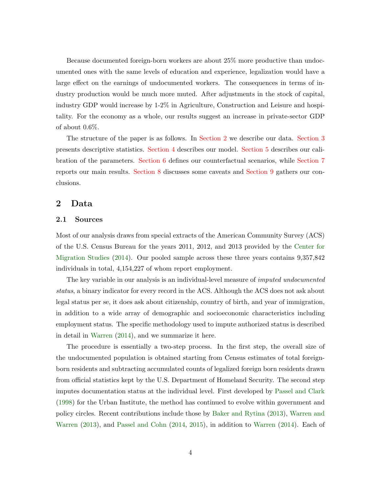Because documented foreign-born workers are about 25% more productive than undocumented ones with the same levels of education and experience, legalization would have a large effect on the earnings of undocumented workers. The consequences in terms of industry production would be much more muted. After adjustments in the stock of capital, industry GDP would increase by 1-2% in Agriculture, Construction and Leisure and hospitality. For the economy as a whole, our results suggest an increase in private-sector GDP of about 0.6%.

The structure of the paper is as follows. In [Section 2](#page-6-0) we describe our data. [Section 3](#page-8-0) presents descriptive statistics. [Section 4](#page-10-0) describes our model. [Section 5](#page-13-0) describes our calibration of the parameters. [Section 6](#page-17-0) defines our counterfactual scenarios, while [Section 7](#page-19-0) reports our main results. [Section 8](#page-27-0) discusses some caveats and [Section 9](#page-28-0) gathers our conclusions.

#### <span id="page-6-0"></span>2 Data

#### 2.1 Sources

Most of our analysis draws from special extracts of the American Community Survey (ACS) of the U.S. Census Bureau for the years 2011, 2012, and 2013 provided by the [Center for](#page-30-1) [Migration Studies](#page-30-1) [\(2014\)](#page-30-1). Our pooled sample across these three years contains 9,357,842 individuals in total, 4,154,227 of whom report employment.

The key variable in our analysis is an individual-level measure of *imputed undocumented* status, a binary indicator for every record in the ACS. Although the ACS does not ask about legal status per se, it does ask about citizenship, country of birth, and year of immigration, in addition to a wide array of demographic and socioeconomic characteristics including employment status. The specific methodology used to impute authorized status is described in detail in [Warren](#page-31-7) [\(2014\)](#page-31-7), and we summarize it here.

The procedure is essentially a two-step process. In the first step, the overall size of the undocumented population is obtained starting from Census estimates of total foreignborn residents and subtracting accumulated counts of legalized foreign born residents drawn from official statistics kept by the U.S. Department of Homeland Security. The second step imputes documentation status at the individual level. First developed by [Passel and Clark](#page-31-8) [\(1998\)](#page-31-8) for the Urban Institute, the method has continued to evolve within government and policy circles. Recent contributions include those by [Baker and Rytina](#page-30-5) [\(2013\)](#page-30-5), [Warren and](#page-31-9) [Warren](#page-31-9) [\(2013\)](#page-31-9), and [Passel and Cohn](#page-31-10) [\(2014,](#page-31-10) [2015\)](#page-31-11), in addition to [Warren](#page-31-7) [\(2014\)](#page-31-7). Each of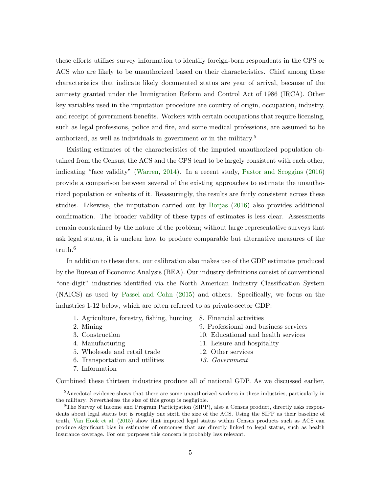these efforts utilizes survey information to identify foreign-born respondents in the CPS or ACS who are likely to be unauthorized based on their characteristics. Chief among these characteristics that indicate likely documented status are year of arrival, because of the amnesty granted under the Immigration Reform and Control Act of 1986 (IRCA). Other key variables used in the imputation procedure are country of origin, occupation, industry, and receipt of government benefits. Workers with certain occupations that require licensing, such as legal professions, police and fire, and some medical professions, are assumed to be authorized, as well as individuals in government or in the military.<sup>5</sup>

Existing estimates of the characteristics of the imputed unauthorized population obtained from the Census, the ACS and the CPS tend to be largely consistent with each other, indicating "face validity" [\(Warren,](#page-31-7) [2014\)](#page-31-7). In a recent study, [Pastor and Scoggins](#page-31-12) [\(2016\)](#page-31-12) provide a comparison between several of the existing approaches to estimate the unauthorized population or subsets of it. Reassuringly, the results are fairly consistent across these studies. Likewise, the imputation carried out by [Borjas](#page-30-6) [\(2016\)](#page-30-6) also provides additional confirmation. The broader validity of these types of estimates is less clear. Assessments remain constrained by the nature of the problem; without large representative surveys that ask legal status, it is unclear how to produce comparable but alternative measures of the truth.<sup>6</sup>

In addition to these data, our calibration also makes use of the GDP estimates produced by the Bureau of Economic Analysis (BEA). Our industry definitions consist of conventional "one-digit" industries identified via the North American Industry Classification System (NAICS) as used by [Passel and Cohn](#page-31-11) [\(2015\)](#page-31-11) and others. Specifically, we focus on the industries 1-12 below, which are often referred to as private-sector GDP:

- 1. Agriculture, forestry, fishing, hunting 8. Financial activities
- 
- 
- 
- 
- 
- 7. Information
- 
- 2. Mining 9. Professional and business services
- 3. Construction 10. Educational and health services
- 4. Manufacturing 11. Leisure and hospitality
- 5. Wholesale and retail trade 12. Other services
- 6. Transportation and utilities 13. Government

Combined these thirteen industries produce all of national GDP. As we discussed earlier,

<sup>5</sup>Anecdotal evidence shows that there are some unauthorized workers in these industries, particularly in the military. Nevertheless the size of this group is negligible.

<sup>&</sup>lt;sup>6</sup>The Survey of Income and Program Participation (SIPP), also a Census product, directly asks respondents about legal status but is roughly one sixth the size of the ACS. Using the SIPP as their baseline of truth, [Van Hook et al.](#page-31-13) [\(2015\)](#page-31-13) show that imputed legal status within Census products such as ACS can produce significant bias in estimates of outcomes that are directly linked to legal status, such as health insurance coverage. For our purposes this concern is probably less relevant.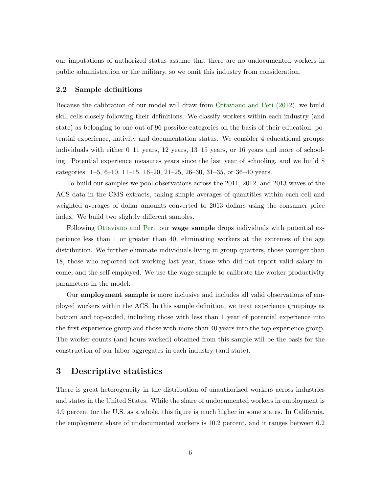our imputations of authorized status assume that there are no undocumented workers in public administration or the military, so we omit this industry from consideration.

#### 2.2 Sample definitions

Because the calibration of our model will draw from [Ottaviano and Peri](#page-31-0) [\(2012\)](#page-31-0), we build skill cells closely following their definitions. We classify workers within each industry (and state) as belonging to one out of 96 possible categories on the basis of their education, potential experience, nativity and documentation status. We consider 4 educational groups: individuals with either 0–11 years, 12 years, 13–15 years, or 16 years and more of schooling. Potential experience measures years since the last year of schooling, and we build 8 categories: 1–5, 6–10, 11–15, 16–20, 21–25, 26–30, 31–35, or 36–40 years.

To build our samples we pool observations across the 2011, 2012, and 2013 waves of the ACS data in the CMS extracts, taking simple averages of quantities within each cell and weighted averages of dollar amounts converted to 2013 dollars using the consumer price index. We build two slightly different samples.

Following [Ottaviano and Peri,](#page-31-0) our wage sample drops individuals with potential experience less than 1 or greater than 40, eliminating workers at the extremes of the age distribution. We further eliminate individuals living in group quarters, those younger than 18, those who reported not working last year, those who did not report valid salary income, and the self-employed. We use the wage sample to calibrate the worker productivity parameters in the model.

Our employment sample is more inclusive and includes all valid observations of employed workers within the ACS. In this sample definition, we treat experience groupings as bottom and top-coded, including those with less than 1 year of potential experience into the first experience group and those with more than 40 years into the top experience group. The worker counts (and hours worked) obtained from this sample will be the basis for the construction of our labor aggregates in each industry (and state).

#### <span id="page-8-0"></span>3 Descriptive statistics

There is great heterogeneity in the distribution of unauthorized workers across industries and states in the United States. While the share of undocumented workers in employment is 4.9 percent for the U.S. as a whole, this figure is much higher in some states. In California, the employment share of undocumented workers is 10.2 percent, and it ranges between 6.2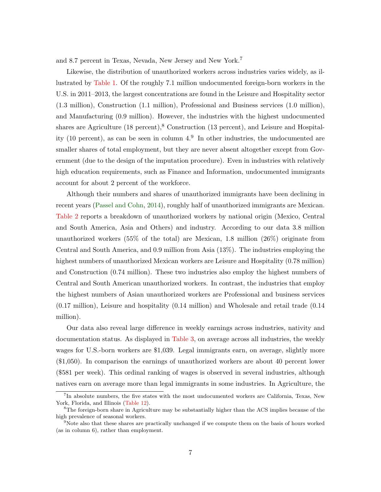and 8.7 percent in Texas, Nevada, New Jersey and New York.<sup>7</sup>

Likewise, the distribution of unauthorized workers across industries varies widely, as illustrated by [Table 1.](#page-32-0) Of the roughly 7.1 million undocumented foreign-born workers in the U.S. in 2011–2013, the largest concentrations are found in the Leisure and Hospitality sector (1.3 million), Construction (1.1 million), Professional and Business services (1.0 million), and Manufacturing (0.9 million). However, the industries with the highest undocumented shares are Agriculture  $(18 \text{ percent})$ ,  $(18 \text{ percent})$ , and Leisure and Hospitality (10 percent), as can be seen in column  $4<sup>9</sup>$ . In other industries, the undocumented are smaller shares of total employment, but they are never absent altogether except from Government (due to the design of the imputation procedure). Even in industries with relatively high education requirements, such as Finance and Information, undocumented immigrants account for about 2 percent of the workforce.

Although their numbers and shares of unauthorized immigrants have been declining in recent years [\(Passel and Cohn,](#page-31-10) [2014\)](#page-31-10), roughly half of unauthorized immigrants are Mexican. [Table 2](#page-33-0) reports a breakdown of unauthorized workers by national origin (Mexico, Central and South America, Asia and Others) and industry. According to our data 3.8 million unauthorized workers (55% of the total) are Mexican, 1.8 million (26%) originate from Central and South America, and 0.9 million from Asia (13%). The industries employing the highest numbers of unauthorized Mexican workers are Leisure and Hospitality (0.78 million) and Construction (0.74 million). These two industries also employ the highest numbers of Central and South American unauthorized workers. In contrast, the industries that employ the highest numbers of Asian unauthorized workers are Professional and business services (0.17 million), Leisure and hospitality (0.14 million) and Wholesale and retail trade (0.14 million).

Our data also reveal large difference in weekly earnings across industries, nativity and documentation status. As displayed in [Table 3,](#page-34-0) on average across all industries, the weekly wages for U.S.-born workers are \$1,039. Legal immigrants earn, on average, slightly more (\$1,050). In comparison the earnings of unauthorized workers are about 40 percent lower (\$581 per week). This ordinal ranking of wages is observed in several industries, although natives earn on average more than legal immigrants in some industries. In Agriculture, the

<sup>7</sup> In absolute numbers, the five states with the most undocumented workers are California, Texas, New York, Florida, and Illinois [\(Table 12\)](#page-42-0).

<sup>8</sup>The foreign-born share in Agriculture may be substantially higher than the ACS implies because of the high prevalence of seasonal workers.

<sup>&</sup>lt;sup>9</sup>Note also that these shares are practically unchanged if we compute them on the basis of hours worked (as in column 6), rather than employment.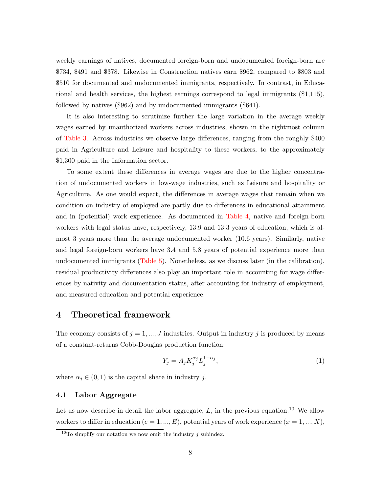weekly earnings of natives, documented foreign-born and undocumented foreign-born are \$734, \$491 and \$378. Likewise in Construction natives earn \$962, compared to \$803 and \$510 for documented and undocumented immigrants, respectively. In contrast, in Educational and health services, the highest earnings correspond to legal immigrants (\$1,115), followed by natives (\$962) and by undocumented immigrants (\$641).

It is also interesting to scrutinize further the large variation in the average weekly wages earned by unauthorized workers across industries, shown in the rightmost column of [Table 3.](#page-34-0) Across industries we observe large differences, ranging from the roughly \$400 paid in Agriculture and Leisure and hospitality to these workers, to the approximately \$1,300 paid in the Information sector.

To some extent these differences in average wages are due to the higher concentration of undocumented workers in low-wage industries, such as Leisure and hospitality or Agriculture. As one would expect, the differences in average wages that remain when we condition on industry of employed are partly due to differences in educational attainment and in (potential) work experience. As documented in [Table 4,](#page-35-0) native and foreign-born workers with legal status have, respectively, 13.9 and 13.3 years of education, which is almost 3 years more than the average undocumented worker (10.6 years). Similarly, native and legal foreign-born workers have 3.4 and 5.8 years of potential experience more than undocumented immigrants [\(Table 5\)](#page-36-0). Nonetheless, as we discuss later (in the calibration), residual productivity differences also play an important role in accounting for wage differences by nativity and documentation status, after accounting for industry of employment, and measured education and potential experience.

#### <span id="page-10-0"></span>4 Theoretical framework

The economy consists of  $j = 1, ..., J$  industries. Output in industry j is produced by means of a constant-returns Cobb-Douglas production function:

<span id="page-10-1"></span>
$$
Y_j = A_j K_j^{\alpha_j} L_j^{1-\alpha_j},\tag{1}
$$

where  $\alpha_j \in (0,1)$  is the capital share in industry j.

#### 4.1 Labor Aggregate

Let us now describe in detail the labor aggregate,  $L$ , in the previous equation.<sup>10</sup> We allow workers to differ in education ( $e = 1, ..., E$ ), potential years of work experience ( $x = 1, ..., X$ ),

<sup>&</sup>lt;sup>10</sup>To simplify our notation we now omit the industry  $j$  subindex.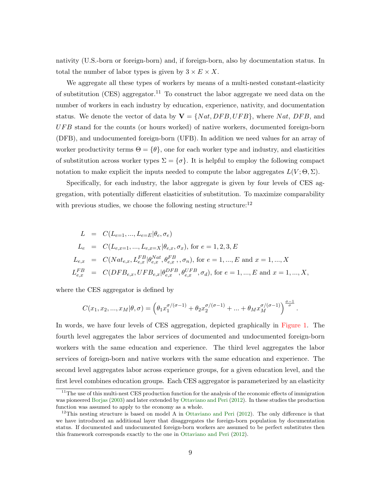nativity (U.S.-born or foreign-born) and, if foreign-born, also by documentation status. In total the number of labor types is given by  $3 \times E \times X$ .

We aggregate all these types of workers by means of a multi-nested constant-elasticity of substitution (CES) aggregator.<sup>11</sup> To construct the labor aggregate we need data on the number of workers in each industry by education, experience, nativity, and documentation status. We denote the vector of data by  $V = \{Nat, DFB, UFB\}$ , where Nat, DFB, and  $UFB$  stand for the counts (or hours worked) of native workers, documented foreign-born (DFB), and undocumented foreign-born (UFB). In addition we need values for an array of worker productivity terms  $\Theta = {\theta}$ , one for each worker type and industry, and elasticities of substitution across worker types  $\Sigma = \{\sigma\}$ . It is helpful to employ the following compact notation to make explicit the inputs needed to compute the labor aggregates  $L(V; \Theta, \Sigma)$ .

Specifically, for each industry, the labor aggregate is given by four levels of CES aggregation, with potentially different elasticities of substitution. To maximize comparability with previous studies, we choose the following nesting structure:  $12$ 

$$
L = C(L_{e=1}, ..., L_{e=E} | \theta_e, \sigma_e)
$$
  
\n
$$
L_e = C(L_{e,x=1}, ..., L_{e,x=X} | \theta_{e,x}, \sigma_x), \text{ for } e = 1, 2, 3, E
$$
  
\n
$$
L_{e,x} = C(Nat_{e,x}, L_{e,x}^{FB} | \theta_{e,x}^{Nat}, \theta_{e,x}^{FB}, \sigma_n), \text{ for } e = 1, ..., E \text{ and } x = 1, ..., X
$$
  
\n
$$
L_{e,x}^{FB} = C(DFB_{e,x}, UFB_{e,x} | \theta_{e,x}^{DFB}, \theta_{e,x}^{UFB}, \sigma_d), \text{ for } e = 1, ..., E \text{ and } x = 1, ..., X,
$$

where the CES aggregator is defined by

$$
C(x_1,x_2,...,x_M|\theta,\sigma)=\left(\theta_1x_1^{\sigma/(\sigma-1)}+\theta_2x_2^{\sigma/(\sigma-1)}+...+\theta_Mx_M^{\sigma/(\sigma-1)}\right)^{\frac{\sigma-1}{\sigma}}.
$$

In words, we have four levels of CES aggregation, depicted graphically in [Figure 1.](#page-45-0) The fourth level aggregates the labor services of documented and undocumented foreign-born workers with the same education and experience. The third level aggregates the labor services of foreign-born and native workers with the same education and experience. The second level aggregates labor across experience groups, for a given education level, and the first level combines education groups. Each CES aggregator is parameterized by an elasticity

<sup>&</sup>lt;sup>11</sup>The use of this multi-nest CES production function for the analysis of the economic effects of immigration was pioneered [Borjas](#page-30-0) [\(2003\)](#page-30-0) and later extended by [Ottaviano and Peri](#page-31-0) [\(2012\)](#page-31-0). In these studies the production function was assumed to apply to the economy as a whole.

<sup>&</sup>lt;sup>12</sup>This nesting structure is based on model A in [Ottaviano and Peri](#page-31-0)  $(2012)$ . The only difference is that we have introduced an additional layer that disaggregates the foreign-born population by documentation status. If documented and undocumented foreign-born workers are assumed to be perfect substitutes then this framework corresponds exactly to the one in [Ottaviano and Peri](#page-31-0) [\(2012\)](#page-31-0).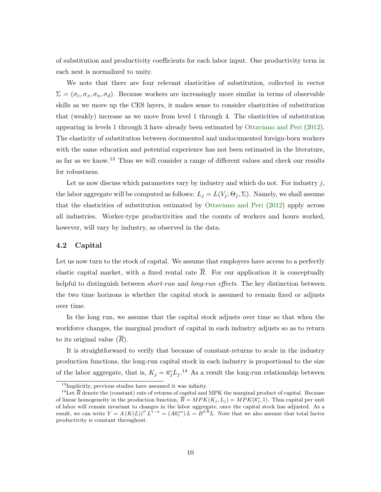of substitution and productivity coefficients for each labor input. One productivity term in each nest is normalized to unity.

We note that there are four relevant elasticities of substitution, collected in vector  $\Sigma = (\sigma_e, \sigma_x, \sigma_n, \sigma_d)$ . Because workers are increasingly more similar in terms of observable skills as we move up the CES layers, it makes sense to consider elasticities of substitution that (weakly) increase as we move from level 1 through 4. The elasticities of substitution appearing in levels 1 through 3 have already been estimated by [Ottaviano and Peri](#page-31-0) [\(2012\)](#page-31-0). The elasticity of substitution between documented and undocumented foreign-born workers with the same education and potential experience has not been estimated in the literature, as far as we know.<sup>13</sup> Thus we will consider a range of different values and check our results for robustness.

Let us now discuss which parameters vary by industry and which do not. For industry  $j$ , the labor aggregate will be computed as follows:  $L_j = L(V_j; \Theta_j, \Sigma)$ . Namely, we shall assume that the elasticities of substitution estimated by [Ottaviano and Peri](#page-31-0) [\(2012\)](#page-31-0) apply across all industries. Worker-type productivities and the counts of workers and hours worked, however, will vary by industry, as observed in the data.

#### 4.2 Capital

Let us now turn to the stock of capital. We assume that employers have access to a perfectly elastic capital market, with a fixed rental rate  $\overline{R}$ . For our application it is conceptually helpful to distinguish between *short-run* and *long-run effects*. The key distinction between the two time horizons is whether the capital stock is assumed to remain fixed or adjusts over time.

In the long run, we assume that the capital stock adjusts over time so that when the workforce changes, the marginal product of capital in each industry adjusts so as to return to its original value  $(R)$ .

It is straightforward to verify that because of constant-returns to scale in the industry production functions, the long-run capital stock in each industry is proportional to the size of the labor aggregate, that is,  $K_j = \overline{\kappa_j} L_j$ .<sup>14</sup> As a result the long-run relationship between

 $13$ Implicitly, previous studies have assumed it was infinity.

<sup>&</sup>lt;sup>14</sup>Let  $\overline{R}$  denote the (constant) rate of returns of capital and MPK the marginal product of capital. Because of linear homogeneity in the production function,  $\overline{R} = MPK(K_i, L_i) = MPK(\overline{\kappa_i}, 1)$ . Thus capital per unit of labor will remain invariant to changes in the labor aggregate, once the capital stock has adjusted. As a result, we can write  $Y = A (K(L))^{\alpha} L^{1-\alpha} = (A \overline{\kappa_j}^{\alpha}) L = B^{LR} L$ . Note that we also assume that total factor productivity is constant throughout.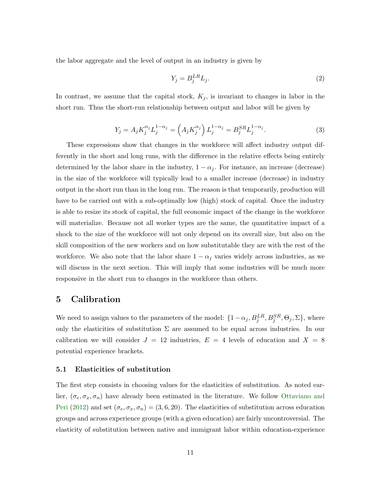the labor aggregate and the level of output in an industry is given by

<span id="page-13-1"></span>
$$
Y_j = B_j^{LR} L_j. \tag{2}
$$

In contrast, we assume that the capital stock,  $K_j$ , is invariant to changes in labor in the short run. Thus the short-run relationship between output and labor will be given by

<span id="page-13-2"></span>
$$
Y_j = A_j K_j^{\alpha_j} L_j^{1-\alpha_j} = \left( A_j K_j^{\alpha_j} \right) L_j^{1-\alpha_j} = B_j^{SR} L_j^{1-\alpha_j}.
$$
 (3)

These expressions show that changes in the workforce will affect industry output differently in the short and long runs, with the difference in the relative effects being entirely determined by the labor share in the industry,  $1 - \alpha_i$ . For instance, an increase (decrease) in the size of the workforce will typically lead to a smaller increase (decrease) in industry output in the short run than in the long run. The reason is that temporarily, production will have to be carried out with a sub-optimally low (high) stock of capital. Once the industry is able to resize its stock of capital, the full economic impact of the change in the workforce will materialize. Because not all worker types are the same, the quantitative impact of a shock to the size of the workforce will not only depend on its overall size, but also on the skill composition of the new workers and on how substitutable they are with the rest of the workforce. We also note that the labor share  $1 - \alpha_i$  varies widely across industries, as we will discuss in the next section. This will imply that some industries will be much more responsive in the short run to changes in the workforce than others.

#### <span id="page-13-0"></span>5 Calibration

We need to assign values to the parameters of the model:  $\{1-\alpha_j, B_j^{LR}, B_j^{SR}, \Theta_j, \Sigma\}$ , where only the elasticities of substitution  $\Sigma$  are assumed to be equal across industries. In our calibration we will consider  $J = 12$  industries,  $E = 4$  levels of education and  $X = 8$ potential experience brackets.

#### 5.1 Elasticities of substitution

The first step consists in choosing values for the elasticities of substitution. As noted earlier,  $(\sigma_e, \sigma_x, \sigma_n)$  have already been estimated in the literature. We follow [Ottaviano and](#page-31-0) [Peri](#page-31-0) [\(2012\)](#page-31-0) and set  $(\sigma_e, \sigma_x, \sigma_n) = (3, 6, 20)$ . The elasticities of substitution across education groups and across experience groups (with a given education) are fairly uncontroversial. The elasticity of substitution between native and immigrant labor within education-experience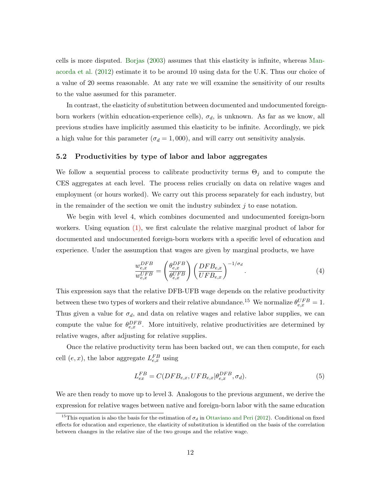cells is more disputed. [Borjas](#page-30-0) [\(2003\)](#page-30-0) assumes that this elasticity is infinite, whereas [Man](#page-31-1)[acorda et al.](#page-31-1) [\(2012\)](#page-31-1) estimate it to be around 10 using data for the U.K. Thus our choice of a value of 20 seems reasonable. At any rate we will examine the sensitivity of our results to the value assumed for this parameter.

In contrast, the elasticity of substitution between documented and undocumented foreignborn workers (within education-experience cells),  $\sigma_d$ , is unknown. As far as we know, all previous studies have implicitly assumed this elasticity to be infinite. Accordingly, we pick a high value for this parameter ( $\sigma_d = 1,000$ ), and will carry out sensitivity analysis.

#### 5.2 Productivities by type of labor and labor aggregates

We follow a sequential process to calibrate productivity terms  $\Theta_j$  and to compute the CES aggregates at each level. The process relies crucially on data on relative wages and employment (or hours worked). We carry out this process separately for each industry, but in the remainder of the section we omit the industry subindex  $j$  to ease notation.

We begin with level 4, which combines documented and undocumented foreign-born workers. Using equation [\(1\),](#page-10-1) we first calculate the relative marginal product of labor for documented and undocumented foreign-born workers with a specific level of education and experience. Under the assumption that wages are given by marginal products, we have

$$
\frac{w_{e,x}^{DFB}}{w_{e,x}^{UFB}} = \left(\frac{\theta_{e,x}^{DFB}}{\theta_{e,x}^{UFB}}\right) \left(\frac{DFB_{e,x}}{UFB_{e,x}}\right)^{-1/\sigma_d}.\tag{4}
$$

This expression says that the relative DFB-UFB wage depends on the relative productivity between these two types of workers and their relative abundance.<sup>15</sup> We normalize  $\theta_{e,x}^{UFB} = 1$ . Thus given a value for  $\sigma_d$ , and data on relative wages and relative labor supplies, we can compute the value for  $\theta_{e,x}^{DFB}$ . More intuitively, relative productivities are determined by relative wages, after adjusting for relative supplies.

Once the relative productivity term has been backed out, we can then compute, for each cell  $(e, x)$ , the labor aggregate  $L_{e, x}^{FB}$  using

$$
L_{ex}^{FB} = C(DFB_{e,x}, UFB_{e,x}|\theta_{e,x}^{DFB}, \sigma_d). \tag{5}
$$

We are then ready to move up to level 3. Analogous to the previous argument, we derive the expression for relative wages between native and foreign-born labor with the same education

<sup>&</sup>lt;sup>15</sup>This equation is also the basis for the estimation of  $\sigma_d$  in [Ottaviano and Peri](#page-31-0) [\(2012\)](#page-31-0). Conditional on fixed effects for education and experience, the elasticity of substitution is identified on the basis of the correlation between changes in the relative size of the two groups and the relative wage.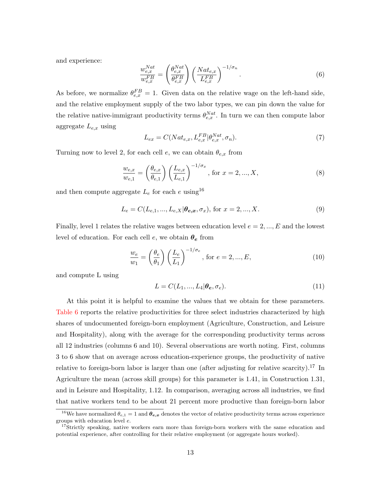and experience:

$$
\frac{w_{e,x}^{Nat}}{w_{e,x}^{FB}} = \left(\frac{\theta_{e,x}^{Nat}}{\theta_{e,x}^{FB}}\right) \left(\frac{Nat_{e,x}}{L_{e,x}^{FB}}\right)^{-1/\sigma_n}.
$$
\n(6)

As before, we normalize  $\theta_{e,x}^{FB} = 1$ . Given data on the relative wage on the left-hand side, and the relative employment supply of the two labor types, we can pin down the value for the relative native-immigrant productivity terms  $\theta_{e,x}^{Nat}$ . In turn we can then compute labor aggregate  $L_{e,x}$  using

$$
L_{ex} = C(Nat_{e,x}, L_{e,x}^{FB} | \theta_{e,x}^{Nat}, \sigma_n). \tag{7}
$$

Turning now to level 2, for each cell e, we can obtain  $\theta_{e,x}$  from

$$
\frac{w_{e,x}}{w_{e,1}} = \left(\frac{\theta_{e,x}}{\theta_{e,1}}\right) \left(\frac{L_{e,x}}{L_{e,1}}\right)^{-1/\sigma_x}, \text{ for } x = 2, ..., X,
$$
\n(8)

and then compute aggregate  $L_e$  for each e using<sup>16</sup>

$$
L_e = C(L_{e,1}, ..., L_{e,X} | \theta_{e,x}, \sigma_x), \text{ for } x = 2, ..., X.
$$
 (9)

Finally, level 1 relates the relative wages between education level  $e = 2, ..., E$  and the lowest level of education. For each cell  $e$ , we obtain  $\theta_e$  from

$$
\frac{w_e}{w_1} = \left(\frac{\theta_e}{\theta_1}\right) \left(\frac{L_e}{L_1}\right)^{-1/\sigma_e}, \text{ for } e = 2, ..., E,
$$
\n(10)

and compute L using

$$
L = C(L_1, ..., L_4 | \boldsymbol{\theta}_e, \sigma_e). \tag{11}
$$

At this point it is helpful to examine the values that we obtain for these parameters. [Table 6](#page-37-0) reports the relative productivities for three select industries characterized by high shares of undocumented foreign-born employment (Agriculture, Construction, and Leisure and Hospitality), along with the average for the corresponding productivity terms across all 12 industries (columns 6 and 10). Several observations are worth noting. First, columns 3 to 6 show that on average across education-experience groups, the productivity of native relative to foreign-born labor is larger than one (after adjusting for relative scarcity).<sup>17</sup> In Agriculture the mean (across skill groups) for this parameter is 1.41, in Construction 1.31, and in Leisure and Hospitality, 1.12. In comparison, averaging across all industries, we find that native workers tend to be about 21 percent more productive than foreign-born labor

<sup>&</sup>lt;sup>16</sup>We have normalized  $\theta_{e,1} = 1$  and  $\theta_{e,x}$  denotes the vector of relative productivity terms across experience groups with education level e.

<sup>&</sup>lt;sup>17</sup>Strictly speaking, native workers earn more than foreign-born workers with the same education and potential experience, after controlling for their relative employment (or aggregate hours worked).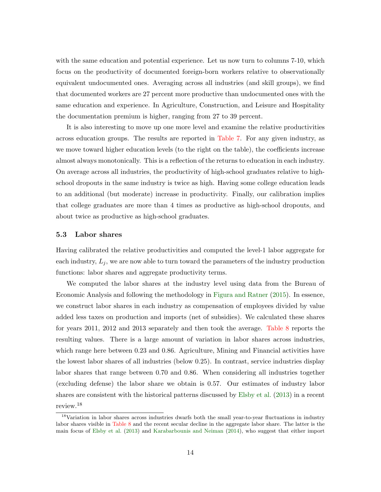with the same education and potential experience. Let us now turn to columns  $7-10$ , which focus on the productivity of documented foreign-born workers relative to observationally equivalent undocumented ones. Averaging across all industries (and skill groups), we find that documented workers are 27 percent more productive than undocumented ones with the same education and experience. In Agriculture, Construction, and Leisure and Hospitality the documentation premium is higher, ranging from 27 to 39 percent.

It is also interesting to move up one more level and examine the relative productivities across education groups. The results are reported in [Table 7.](#page-38-0) For any given industry, as we move toward higher education levels (to the right on the table), the coefficients increase almost always monotonically. This is a reflection of the returns to education in each industry. On average across all industries, the productivity of high-school graduates relative to highschool dropouts in the same industry is twice as high. Having some college education leads to an additional (but moderate) increase in productivity. Finally, our calibration implies that college graduates are more than 4 times as productive as high-school dropouts, and about twice as productive as high-school graduates.

#### 5.3 Labor shares

Having calibrated the relative productivities and computed the level-1 labor aggregate for each industry,  $L_j$ , we are now able to turn toward the parameters of the industry production functions: labor shares and aggregate productivity terms.

We computed the labor shares at the industry level using data from the Bureau of Economic Analysis and following the methodology in [Figura and Ratner](#page-30-7) [\(2015\)](#page-30-7). In essence, we construct labor shares in each industry as compensation of employees divided by value added less taxes on production and imports (net of subsidies). We calculated these shares for years 2011, 2012 and 2013 separately and then took the average. [Table 8](#page-38-1) reports the resulting values. There is a large amount of variation in labor shares across industries, which range here between 0.23 and 0.86. Agriculture, Mining and Financial activities have the lowest labor shares of all industries (below 0.25). In contrast, service industries display labor shares that range between 0.70 and 0.86. When considering all industries together (excluding defense) the labor share we obtain is 0.57. Our estimates of industry labor shares are consistent with the historical patterns discussed by [Elsby et al.](#page-30-8) [\(2013\)](#page-30-8) in a recent review.<sup>18</sup>

<sup>&</sup>lt;sup>18</sup>Variation in labor shares across industries dwarfs both the small year-to-year fluctuations in industry labor shares visible in [Table 8](#page-38-1) and the recent secular decline in the aggregate labor share. The latter is the main focus of [Elsby et al.](#page-30-8) [\(2013\)](#page-30-8) and [Karabarbounis and Neiman](#page-30-9) [\(2014\)](#page-30-9), who suggest that either import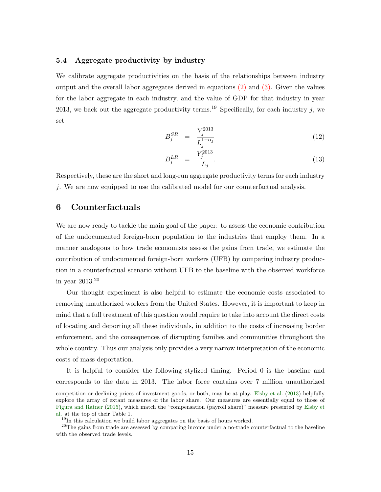#### 5.4 Aggregate productivity by industry

We calibrate aggregate productivities on the basis of the relationships between industry output and the overall labor aggregates derived in equations [\(2\)](#page-13-1) and [\(3\).](#page-13-2) Given the values for the labor aggregate in each industry, and the value of GDP for that industry in year 2013, we back out the aggregate productivity terms.<sup>19</sup> Specifically, for each industry j, we set

$$
B_j^{SR} = \frac{Y_j^{2013}}{L_j^{1-\alpha_j}}
$$
 (12)

$$
B_j^{LR} = \frac{Y_j^{2013}}{L_j}.
$$
\n(13)

Respectively, these are the short and long-run aggregate productivity terms for each industry j. We are now equipped to use the calibrated model for our counterfactual analysis.

#### <span id="page-17-0"></span>6 Counterfactuals

We are now ready to tackle the main goal of the paper: to assess the economic contribution of the undocumented foreign-born population to the industries that employ them. In a manner analogous to how trade economists assess the gains from trade, we estimate the contribution of undocumented foreign-born workers (UFB) by comparing industry production in a counterfactual scenario without UFB to the baseline with the observed workforce in year 2013.<sup>20</sup>

Our thought experiment is also helpful to estimate the economic costs associated to removing unauthorized workers from the United States. However, it is important to keep in mind that a full treatment of this question would require to take into account the direct costs of locating and deporting all these individuals, in addition to the costs of increasing border enforcement, and the consequences of disrupting families and communities throughout the whole country. Thus our analysis only provides a very narrow interpretation of the economic costs of mass deportation.

It is helpful to consider the following stylized timing. Period 0 is the baseline and corresponds to the data in 2013. The labor force contains over 7 million unauthorized

competition or declining prices of investment goods, or both, may be at play. [Elsby et al.](#page-30-8) [\(2013\)](#page-30-8) helpfully explore the array of extant measures of the labor share. Our measures are essentially equal to those of [Figura and Ratner](#page-30-7) [\(2015\)](#page-30-7), which match the "compensation (payroll share)" measure presented by [Elsby et](#page-30-8) [al.](#page-30-8) at the top of their Table 1.

<sup>&</sup>lt;sup>19</sup>In this calculation we build labor aggregates on the basis of hours worked.

<sup>&</sup>lt;sup>20</sup>The gains from trade are assessed by comparing income under a no-trade counterfactual to the baseline with the observed trade levels.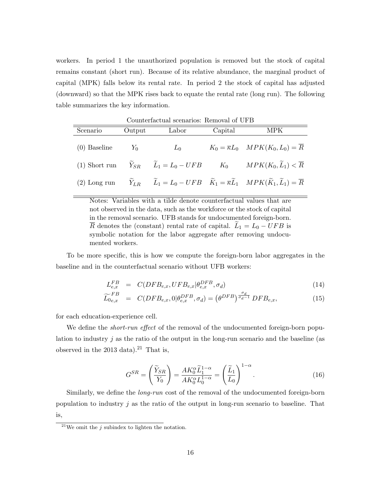workers. In period 1 the unauthorized population is removed but the stock of capital remains constant (short run). Because of its relative abundance, the marginal product of capital (MPK) falls below its rental rate. In period 2 the stock of capital has adjusted (downward) so that the MPK rises back to equate the rental rate (long run). The following table summarizes the key information.

|                |        | Counternactual scenarios: Removal of UPD |         |                                                                                                                                                                 |
|----------------|--------|------------------------------------------|---------|-----------------------------------------------------------------------------------------------------------------------------------------------------------------|
| Scenario       | Output | Labor                                    | Capital | <b>MPK</b>                                                                                                                                                      |
| $(0)$ Baseline | $Y_0$  | $L_0$                                    |         | $K_0 = \overline{\kappa}L_0$ $MPK(K_0, L_0) = \overline{R}$                                                                                                     |
|                |        |                                          |         | (1) Short run $\widetilde{Y}_{SR}$ $\widetilde{L}_1 = L_0 - UFB$ $K_0$ $MPK(K_0, \widetilde{L}_1) < \overline{R}$                                               |
| $(2)$ Long run |        |                                          |         | $\widetilde{Y}_{LR}$ $\widetilde{L}_1 = L_0 - UFB$ $\widetilde{K}_1 = \overline{\kappa} \widetilde{L}_1$ $MPK(\widetilde{K}_1, \widetilde{L}_1) = \overline{R}$ |

Counterfactual scenarios: Removal of UFB

Notes: Variables with a tilde denote counterfactual values that are not observed in the data, such as the workforce or the stock of capital in the removal scenario. UFB stands for undocumented foreign-born.  $\overline{R}$  denotes the (constant) rental rate of capital.  $L_1 = L_0 - UFB$  is symbolic notation for the labor aggregate after removing undocumented workers.

To be more specific, this is how we compute the foreign-born labor aggregates in the baseline and in the counterfactual scenario without UFB workers:

$$
L_{e,x}^{FB} = C(DFB_{e,x}, UFB_{e,x}|\theta_{e,x}^{DFB}, \sigma_d)
$$
\n(14)

$$
\widetilde{L}_{0e,x}^{FB} = C(DFB_{e,x},0|\theta_{e,x}^{DFB},\sigma_d) = (\theta^{DFB})^{\frac{\sigma_d}{\sigma_d - 1}} DFB_{e,x}, \qquad (15)
$$

for each education-experience cell.

We define the *short-run effect* of the removal of the undocumented foreign-born population to industry  $j$  as the ratio of the output in the long-run scenario and the baseline (as observed in the 2013 data).<sup>21</sup> That is,

<span id="page-18-0"></span>
$$
G^{SR} = \left(\frac{\widetilde{Y}_{SR}}{Y_0}\right) = \frac{AK_0^{\alpha}\widetilde{L}_1^{1-\alpha}}{AK_0^{\alpha}L_0^{1-\alpha}} = \left(\frac{\widetilde{L}_1}{L_0}\right)^{1-\alpha}.\tag{16}
$$

Similarly, we define the long-run cost of the removal of the undocumented foreign-born population to industry  $j$  as the ratio of the output in long-run scenario to baseline. That is,

<sup>&</sup>lt;sup>21</sup>We omit the *j* subindex to lighten the notation.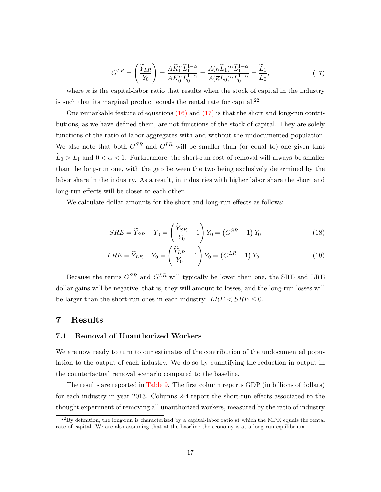<span id="page-19-1"></span>
$$
G^{LR} = \left(\frac{\widetilde{Y}_{LR}}{Y_0}\right) = \frac{A\widetilde{K}_1^{\alpha}\widetilde{L}_1^{1-\alpha}}{AK_0^{\alpha}L_0^{1-\alpha}} = \frac{A(\overline{\kappa}\widetilde{L}_1)^{\alpha}\widetilde{L}_1^{1-\alpha}}{A(\overline{\kappa}L_0)^{\alpha}L_0^{1-\alpha}} = \frac{\widetilde{L}_1}{L_0},\tag{17}
$$

where  $\overline{\kappa}$  is the capital-labor ratio that results when the stock of capital in the industry is such that its marginal product equals the rental rate for capital. $^{22}$ 

One remarkable feature of equations  $(16)$  and  $(17)$  is that the short and long-run contributions, as we have defined them, are not functions of the stock of capital. They are solely functions of the ratio of labor aggregates with and without the undocumented population. We also note that both  $G^{SR}$  and  $G^{LR}$  will be smaller than (or equal to) one given that  $\widetilde{L}_0 > L_1$  and  $0 < \alpha < 1$ . Furthermore, the short-run cost of removal will always be smaller than the long-run one, with the gap between the two being exclusively determined by the labor share in the industry. As a result, in industries with higher labor share the short and long-run effects will be closer to each other.

We calculate dollar amounts for the short and long-run effects as follows:

$$
SRE = \widetilde{Y}_{SR} - Y_0 = \left(\frac{\widetilde{Y}_{SR}}{Y_0} - 1\right) Y_0 = \left(G^{SR} - 1\right) Y_0 \tag{18}
$$

$$
LRE = \widetilde{Y}_{LR} - Y_0 = \left(\frac{\widetilde{Y}_{LR}}{Y_0} - 1\right) Y_0 = \left(G^{LR} - 1\right) Y_0.
$$
\n(19)

Because the terms  $G^{SR}$  and  $G^{LR}$  will typically be lower than one, the SRE and LRE dollar gains will be negative, that is, they will amount to losses, and the long-run losses will be larger than the short-run ones in each industry:  $LRE < SRE \leq 0$ .

#### <span id="page-19-0"></span>7 Results

#### 7.1 Removal of Unauthorized Workers

We are now ready to turn to our estimates of the contribution of the undocumented population to the output of each industry. We do so by quantifying the reduction in output in the counterfactual removal scenario compared to the baseline.

The results are reported in [Table 9.](#page-39-0) The first column reports GDP (in billions of dollars) for each industry in year 2013. Columns 2-4 report the short-run effects associated to the thought experiment of removing all unauthorized workers, measured by the ratio of industry

 $^{22}$ By definition, the long-run is characterized by a capital-labor ratio at which the MPK equals the rental rate of capital. We are also assuming that at the baseline the economy is at a long-run equilibrium.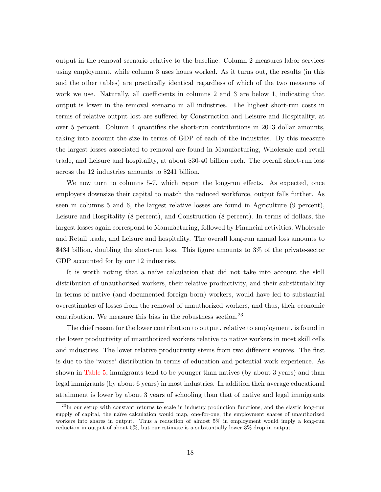output in the removal scenario relative to the baseline. Column 2 measures labor services using employment, while column 3 uses hours worked. As it turns out, the results (in this and the other tables) are practically identical regardless of which of the two measures of work we use. Naturally, all coefficients in columns 2 and 3 are below 1, indicating that output is lower in the removal scenario in all industries. The highest short-run costs in terms of relative output lost are suffered by Construction and Leisure and Hospitality, at over 5 percent. Column 4 quantifies the short-run contributions in 2013 dollar amounts, taking into account the size in terms of GDP of each of the industries. By this measure the largest losses associated to removal are found in Manufacturing, Wholesale and retail trade, and Leisure and hospitality, at about \$30-40 billion each. The overall short-run loss across the 12 industries amounts to \$241 billion.

We now turn to columns 5-7, which report the long-run effects. As expected, once employers downsize their capital to match the reduced workforce, output falls further. As seen in columns 5 and 6, the largest relative losses are found in Agriculture (9 percent), Leisure and Hospitality (8 percent), and Construction (8 percent). In terms of dollars, the largest losses again correspond to Manufacturing, followed by Financial activities, Wholesale and Retail trade, and Leisure and hospitality. The overall long-run annual loss amounts to \$434 billion, doubling the short-run loss. This figure amounts to 3% of the private-sector GDP accounted for by our 12 industries.

It is worth noting that a naïve calculation that did not take into account the skill distribution of unauthorized workers, their relative productivity, and their substitutability in terms of native (and documented foreign-born) workers, would have led to substantial overestimates of losses from the removal of unauthorized workers, and thus, their economic contribution. We measure this bias in the robustness section.<sup>23</sup>

The chief reason for the lower contribution to output, relative to employment, is found in the lower productivity of unauthorized workers relative to native workers in most skill cells and industries. The lower relative productivity stems from two different sources. The first is due to the 'worse' distribution in terms of education and potential work experience. As shown in [Table 5,](#page-36-0) immigrants tend to be younger than natives (by about 3 years) and than legal immigrants (by about 6 years) in most industries. In addition their average educational attainment is lower by about 3 years of schooling than that of native and legal immigrants

 $^{23}$ In our setup with constant returns to scale in industry production functions, and the elastic long-run supply of capital, the naïve calculation would map, one-for-one, the employment shares of unauthorized workers into shares in output. Thus a reduction of almost 5% in employment would imply a long-run reduction in output of about 5%, but our estimate is a substantially lower 3% drop in output.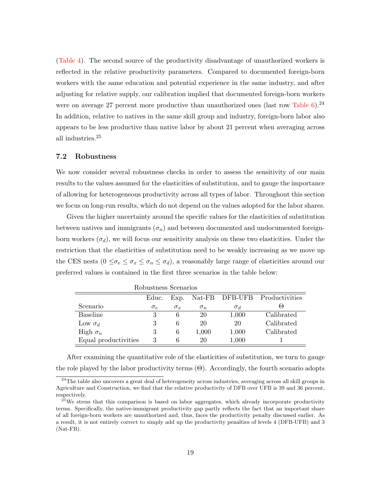[\(Table 4\)](#page-35-0). The second source of the productivity disadvantage of unauthorized workers is reflected in the relative productivity parameters. Compared to documented foreign-born workers with the same education and potential experience in the same industry, and after adjusting for relative supply, our calibration implied that documented foreign-born workers were on average 27 percent more productive than unauthorized ones (last row Table  $6$ ).<sup>24</sup> In addition, relative to natives in the same skill group and industry, foreign-born labor also appears to be less productive than native labor by about 21 percent when averaging across all industries.<sup>25</sup>

#### 7.2 Robustness

We now consider several robustness checks in order to assess the sensitivity of our main results to the values assumed for the elasticities of substitution, and to gauge the importance of allowing for heterogeneous productivity across all types of labor. Throughout this section we focus on long-run results, which do not depend on the values adopted for the labor shares.

Given the higher uncertainty around the specific values for the elasticities of substitution between natives and immigrants  $(\sigma_n)$  and between documented and undocumented foreignborn workers  $(\sigma_d)$ , we will focus our sensitivity analysis on these two elasticities. Under the restriction that the elasticities of substitution need to be weakly increasing as we move up the CES nests  $(0 \leq \sigma_e \leq \sigma_x \leq \sigma_n \leq \sigma_d)$ , a reasonably large range of elasticities around our preferred values is contained in the first three scenarios in the table below:

|                      | RODUSLIIESS DCEITALIOS |            |            |            |                               |
|----------------------|------------------------|------------|------------|------------|-------------------------------|
|                      | Educ.                  | Exp.       |            |            | Nat-FB DFB-UFB Productivities |
| Scenario             | $\sigma_e$             | $\sigma_x$ | $\sigma_n$ | $\sigma_d$ | (−)                           |
| Baseline             |                        |            | 20         | 1,000      | Calibrated                    |
| Low $\sigma_d$       |                        | 6          | 20         | 20         | Calibrated                    |
| High $\sigma_n$      | 3                      | 6          | 1,000      | 1,000      | Calibrated                    |
| Equal productivities | 3                      |            | 20         | 1,000      |                               |

Robustness Scenarios

After examining the quantitative role of the elasticities of substitution, we turn to gauge the role played by the labor productivity terms  $(\Theta)$ . Accordingly, the fourth scenario adopts

<sup>&</sup>lt;sup>24</sup>The table also uncovers a great deal of heterogeneity across industries, averaging across all skill groups in Agriculture and Construction, we find that the relative productivity of DFB over UFB is 39 and 36 percent, respectively.

<sup>&</sup>lt;sup>25</sup>We stress that this comparison is based on labor aggregates, which already incorporate productivity terms. Specifically, the native-immigrant productivity gap partly reflects the fact that an important share of all foreign-born workers are unauthorized and, thus, faces the productivity penalty discussed earlier. As a result, it is not entirely correct to simply add up the productivity penalties of levels 4 (DFB-UFB) and 3 (Nat-FB).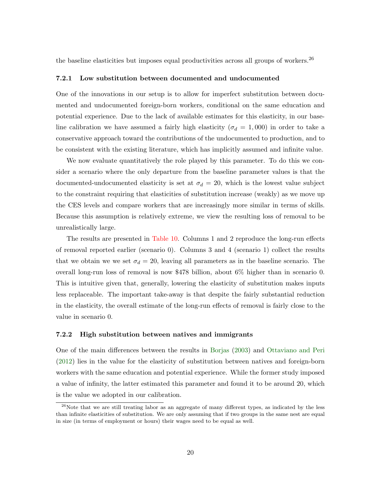the baseline elasticities but imposes equal productivities across all groups of workers.<sup>26</sup>

#### 7.2.1 Low substitution between documented and undocumented

One of the innovations in our setup is to allow for imperfect substitution between documented and undocumented foreign-born workers, conditional on the same education and potential experience. Due to the lack of available estimates for this elasticity, in our baseline calibration we have assumed a fairly high elasticity ( $\sigma_d = 1,000$ ) in order to take a conservative approach toward the contributions of the undocumented to production, and to be consistent with the existing literature, which has implicitly assumed and infinite value.

We now evaluate quantitatively the role played by this parameter. To do this we consider a scenario where the only departure from the baseline parameter values is that the documented-undocumented elasticity is set at  $\sigma_d = 20$ , which is the lowest value subject to the constraint requiring that elasticities of substitution increase (weakly) as we move up the CES levels and compare workers that are increasingly more similar in terms of skills. Because this assumption is relatively extreme, we view the resulting loss of removal to be unrealistically large.

The results are presented in [Table 10.](#page-40-0) Columns 1 and 2 reproduce the long-run effects of removal reported earlier (scenario 0). Columns 3 and 4 (scenario 1) collect the results that we obtain we we set  $\sigma_d = 20$ , leaving all parameters as in the baseline scenario. The overall long-run loss of removal is now \$478 billion, about 6% higher than in scenario 0. This is intuitive given that, generally, lowering the elasticity of substitution makes inputs less replaceable. The important take-away is that despite the fairly substantial reduction in the elasticity, the overall estimate of the long-run effects of removal is fairly close to the value in scenario 0.

#### 7.2.2 High substitution between natives and immigrants

One of the main differences between the results in [Borjas](#page-30-0) [\(2003\)](#page-30-0) and [Ottaviano and Peri](#page-31-0) [\(2012\)](#page-31-0) lies in the value for the elasticity of substitution between natives and foreign-born workers with the same education and potential experience. While the former study imposed a value of infinity, the latter estimated this parameter and found it to be around 20, which is the value we adopted in our calibration.

 $26$ Note that we are still treating labor as an aggregate of many different types, as indicated by the less than infinite elasticities of substitution. We are only assuming that if two groups in the same nest are equal in size (in terms of employment or hours) their wages need to be equal as well.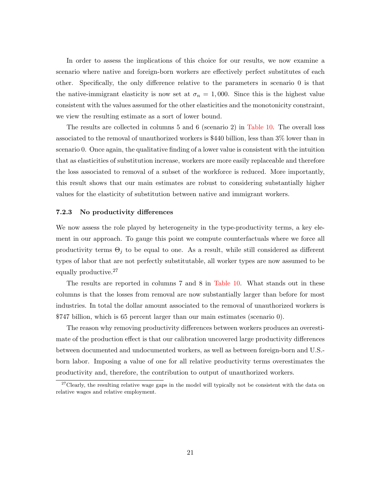In order to assess the implications of this choice for our results, we now examine a scenario where native and foreign-born workers are effectively perfect substitutes of each other. Specifically, the only difference relative to the parameters in scenario 0 is that the native-immigrant elasticity is now set at  $\sigma_n = 1,000$ . Since this is the highest value consistent with the values assumed for the other elasticities and the monotonicity constraint, we view the resulting estimate as a sort of lower bound.

The results are collected in columns 5 and 6 (scenario 2) in [Table 10.](#page-40-0) The overall loss associated to the removal of unauthorized workers is \$440 billion, less than 3% lower than in scenario 0. Once again, the qualitative finding of a lower value is consistent with the intuition that as elasticities of substitution increase, workers are more easily replaceable and therefore the loss associated to removal of a subset of the workforce is reduced. More importantly, this result shows that our main estimates are robust to considering substantially higher values for the elasticity of substitution between native and immigrant workers.

#### 7.2.3 No productivity differences

We now assess the role played by heterogeneity in the type-productivity terms, a key element in our approach. To gauge this point we compute counterfactuals where we force all productivity terms  $\Theta_j$  to be equal to one. As a result, while still considered as different types of labor that are not perfectly substitutable, all worker types are now assumed to be equally productive.<sup>27</sup>

The results are reported in columns 7 and 8 in [Table 10.](#page-40-0) What stands out in these columns is that the losses from removal are now substantially larger than before for most industries. In total the dollar amount associated to the removal of unauthorized workers is \$747 billion, which is 65 percent larger than our main estimates (scenario 0).

The reason why removing productivity differences between workers produces an overestimate of the production effect is that our calibration uncovered large productivity differences between documented and undocumented workers, as well as between foreign-born and U.S. born labor. Imposing a value of one for all relative productivity terms overestimates the productivity and, therefore, the contribution to output of unauthorized workers.

 $27$ Clearly, the resulting relative wage gaps in the model will typically not be consistent with the data on relative wages and relative employment.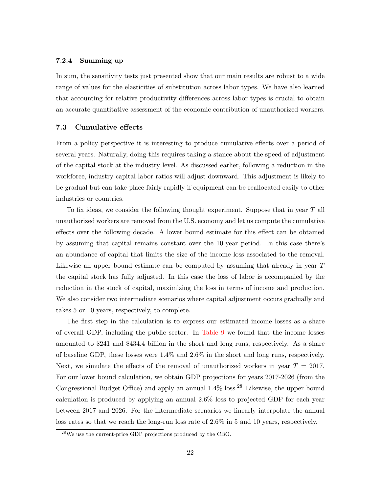#### 7.2.4 Summing up

In sum, the sensitivity tests just presented show that our main results are robust to a wide range of values for the elasticities of substitution across labor types. We have also learned that accounting for relative productivity differences across labor types is crucial to obtain an accurate quantitative assessment of the economic contribution of unauthorized workers.

#### 7.3 Cumulative effects

From a policy perspective it is interesting to produce cumulative effects over a period of several years. Naturally, doing this requires taking a stance about the speed of adjustment of the capital stock at the industry level. As discussed earlier, following a reduction in the workforce, industry capital-labor ratios will adjust downward. This adjustment is likely to be gradual but can take place fairly rapidly if equipment can be reallocated easily to other industries or countries.

To fix ideas, we consider the following thought experiment. Suppose that in year T all unauthorized workers are removed from the U.S. economy and let us compute the cumulative effects over the following decade. A lower bound estimate for this effect can be obtained by assuming that capital remains constant over the 10-year period. In this case there's an abundance of capital that limits the size of the income loss associated to the removal. Likewise an upper bound estimate can be computed by assuming that already in year T the capital stock has fully adjusted. In this case the loss of labor is accompanied by the reduction in the stock of capital, maximizing the loss in terms of income and production. We also consider two intermediate scenarios where capital adjustment occurs gradually and takes 5 or 10 years, respectively, to complete.

The first step in the calculation is to express our estimated income losses as a share of overall GDP, including the public sector. In [Table 9](#page-39-0) we found that the income losses amounted to \$241 and \$434.4 billion in the short and long runs, respectively. As a share of baseline GDP, these losses were 1.4% and 2.6% in the short and long runs, respectively. Next, we simulate the effects of the removal of unauthorized workers in year  $T = 2017$ . For our lower bound calculation, we obtain GDP projections for years 2017-2026 (from the Congressional Budget Office) and apply an annual  $1.4\%$  loss.<sup>28</sup> Likewise, the upper bound calculation is produced by applying an annual 2.6% loss to projected GDP for each year between 2017 and 2026. For the intermediate scenarios we linearly interpolate the annual loss rates so that we reach the long-run loss rate of 2.6% in 5 and 10 years, respectively.

<sup>28</sup>We use the current-price GDP projections produced by the CBO.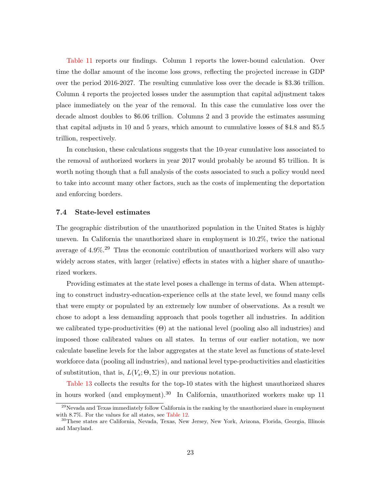[Table 11](#page-41-0) reports our findings. Column 1 reports the lower-bound calculation. Over time the dollar amount of the income loss grows, reflecting the projected increase in GDP over the period 2016-2027. The resulting cumulative loss over the decade is \$3.36 trillion. Column 4 reports the projected losses under the assumption that capital adjustment takes place immediately on the year of the removal. In this case the cumulative loss over the decade almost doubles to \$6.06 trillion. Columns 2 and 3 provide the estimates assuming that capital adjusts in 10 and 5 years, which amount to cumulative losses of \$4.8 and \$5.5 trillion, respectively.

In conclusion, these calculations suggests that the 10-year cumulative loss associated to the removal of authorized workers in year 2017 would probably be around \$5 trillion. It is worth noting though that a full analysis of the costs associated to such a policy would need to take into account many other factors, such as the costs of implementing the deportation and enforcing borders.

#### 7.4 State-level estimates

The geographic distribution of the unauthorized population in the United States is highly uneven. In California the unauthorized share in employment is 10.2%, twice the national average of 4.9%.<sup>29</sup> Thus the economic contribution of unauthorized workers will also vary widely across states, with larger (relative) effects in states with a higher share of unauthorized workers.

Providing estimates at the state level poses a challenge in terms of data. When attempting to construct industry-education-experience cells at the state level, we found many cells that were empty or populated by an extremely low number of observations. As a result we chose to adopt a less demanding approach that pools together all industries. In addition we calibrated type-productivities  $(\Theta)$  at the national level (pooling also all industries) and imposed those calibrated values on all states. In terms of our earlier notation, we now calculate baseline levels for the labor aggregates at the state level as functions of state-level workforce data (pooling all industries), and national level type-productivities and elasticities of substitution, that is,  $L(V_s; \Theta, \Sigma)$  in our previous notation.

[Table 13](#page-43-0) collects the results for the top-10 states with the highest unauthorized shares in hours worked (and employment).<sup>30</sup> In California, unauthorized workers make up 11

<sup>&</sup>lt;sup>29</sup>Nevada and Texas immediately follow California in the ranking by the unauthorized share in employment with 8.7%. For the values for all states, see [Table 12.](#page-42-0)

<sup>30</sup>These states are California, Nevada, Texas, New Jersey, New York, Arizona, Florida, Georgia, Illinois and Maryland.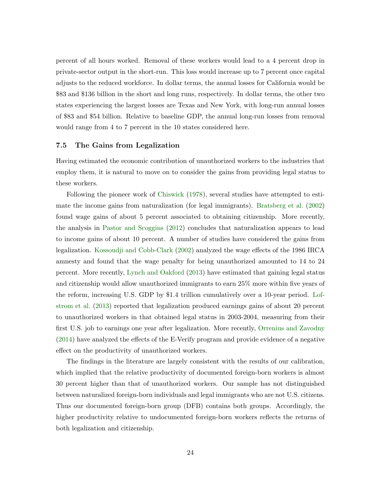percent of all hours worked. Removal of these workers would lead to a 4 percent drop in private-sector output in the short-run. This loss would increase up to 7 percent once capital adjusts to the reduced workforce. In dollar terms, the annual losses for California would be \$83 and \$136 billion in the short and long runs, respectively. In dollar terms, the other two states experiencing the largest losses are Texas and New York, with long-run annual losses of \$83 and \$54 billion. Relative to baseline GDP, the annual long-run losses from removal would range from 4 to 7 percent in the 10 states considered here.

#### 7.5 The Gains from Legalization

Having estimated the economic contribution of unauthorized workers to the industries that employ them, it is natural to move on to consider the gains from providing legal status to these workers.

Following the pioneer work of [Chiswick](#page-30-2) [\(1978\)](#page-30-2), several studies have attempted to estimate the income gains from naturalization (for legal immigrants). [Bratsberg et al.](#page-30-3) [\(2002\)](#page-30-3) found wage gains of about 5 percent associated to obtaining citizenship. More recently, the analysis in [Pastor and Scoggins](#page-31-5) [\(2012\)](#page-31-5) concludes that naturalization appears to lead to income gains of about 10 percent. A number of studies have considered the gains from legalization. [Kossoudji and Cobb-Clark](#page-30-4) [\(2002\)](#page-30-4) analyzed the wage effects of the 1986 IRCA amnesty and found that the wage penalty for being unauthorized amounted to 14 to 24 percent. More recently, [Lynch and Oakford](#page-31-4) [\(2013\)](#page-31-4) have estimated that gaining legal status and citizenship would allow unauthorized immigrants to earn 25% more within five years of the reform, increasing U.S. GDP by \$1.4 trillion cumulatively over a 10-year period. [Lof](#page-31-3)[strom et al.](#page-31-3) [\(2013\)](#page-31-3) reported that legalization produced earnings gains of about 20 percent to unauthorized workers in that obtained legal status in 2003-2004, measuring from their first U.S. job to earnings one year after legalization. More recently, [Orrenius and Zavodny](#page-31-14) [\(2014\)](#page-31-14) have analyzed the effects of the E-Verify program and provide evidence of a negative effect on the productivity of unauthorized workers.

The findings in the literature are largely consistent with the results of our calibration, which implied that the relative productivity of documented foreign-born workers is almost 30 percent higher than that of unauthorized workers. Our sample has not distinguished between naturalized foreign-born individuals and legal immigrants who are not U.S. citizens. Thus our documented foreign-born group (DFB) contains both groups. Accordingly, the higher productivity relative to undocumented foreign-born workers reflects the returns of both legalization and citizenship.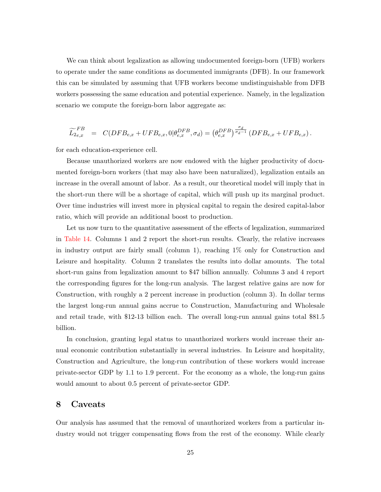We can think about legalization as allowing undocumented foreign-born (UFB) workers to operate under the same conditions as documented immigrants (DFB). In our framework this can be simulated by assuming that UFB workers become undistinguishable from DFB workers possessing the same education and potential experience. Namely, in the legalization scenario we compute the foreign-born labor aggregate as:

$$
\widetilde{L}_{2e,x}^{FB} \;\; = \;\; C(DFB_{e,x} + UFB_{e,x},0 | \theta_{e,x}^{DFB},\sigma_d) = \left(\theta_{e,x}^{DFB}\right)^{\frac{\sigma_d}{\sigma_d - 1}} \left(DFB_{e,x} + UFB_{e,x}\right).
$$

for each education-experience cell.

Because unauthorized workers are now endowed with the higher productivity of documented foreign-born workers (that may also have been naturalized), legalization entails an increase in the overall amount of labor. As a result, our theoretical model will imply that in the short-run there will be a shortage of capital, which will push up its marginal product. Over time industries will invest more in physical capital to regain the desired capital-labor ratio, which will provide an additional boost to production.

Let us now turn to the quantitative assessment of the effects of legalization, summarized in [Table 14.](#page-44-0) Columns 1 and 2 report the short-run results. Clearly, the relative increases in industry output are fairly small (column 1), reaching 1% only for Construction and Leisure and hospitality. Column 2 translates the results into dollar amounts. The total short-run gains from legalization amount to \$47 billion annually. Columns 3 and 4 report the corresponding figures for the long-run analysis. The largest relative gains are now for Construction, with roughly a 2 percent increase in production (column 3). In dollar terms the largest long-run annual gains accrue to Construction, Manufacturing and Wholesale and retail trade, with \$12-13 billion each. The overall long-run annual gains total \$81.5 billion.

In conclusion, granting legal status to unauthorized workers would increase their annual economic contribution substantially in several industries. In Leisure and hospitality, Construction and Agriculture, the long-run contribution of these workers would increase private-sector GDP by 1.1 to 1.9 percent. For the economy as a whole, the long-run gains would amount to about 0.5 percent of private-sector GDP.

#### <span id="page-27-0"></span>8 Caveats

Our analysis has assumed that the removal of unauthorized workers from a particular industry would not trigger compensating flows from the rest of the economy. While clearly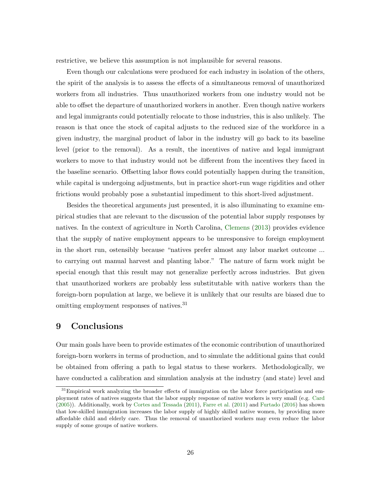restrictive, we believe this assumption is not implausible for several reasons.

Even though our calculations were produced for each industry in isolation of the others, the spirit of the analysis is to assess the effects of a simultaneous removal of unauthorized workers from all industries. Thus unauthorized workers from one industry would not be able to offset the departure of unauthorized workers in another. Even though native workers and legal immigrants could potentially relocate to those industries, this is also unlikely. The reason is that once the stock of capital adjusts to the reduced size of the workforce in a given industry, the marginal product of labor in the industry will go back to its baseline level (prior to the removal). As a result, the incentives of native and legal immigrant workers to move to that industry would not be different from the incentives they faced in the baseline scenario. Offsetting labor flows could potentially happen during the transition, while capital is undergoing adjustments, but in practice short-run wage rigidities and other frictions would probably pose a substantial impediment to this short-lived adjustment.

Besides the theoretical arguments just presented, it is also illuminating to examine empirical studies that are relevant to the discussion of the potential labor supply responses by natives. In the context of agriculture in North Carolina, [Clemens](#page-30-10) [\(2013\)](#page-30-10) provides evidence that the supply of native employment appears to be unresponsive to foreign employment in the short run, ostensibly because "natives prefer almost any labor market outcome ... to carrying out manual harvest and planting labor." The nature of farm work might be special enough that this result may not generalize perfectly across industries. But given that unauthorized workers are probably less substitutable with native workers than the foreign-born population at large, we believe it is unlikely that our results are biased due to omitting employment responses of natives.<sup>31</sup>

#### <span id="page-28-0"></span>9 Conclusions

Our main goals have been to provide estimates of the economic contribution of unauthorized foreign-born workers in terms of production, and to simulate the additional gains that could be obtained from offering a path to legal status to these workers. Methodologically, we have conducted a calibration and simulation analysis at the industry (and state) level and

<sup>&</sup>lt;sup>31</sup>Empirical work analyzing the broader effects of immigration on the labor force participation and employment rates of natives suggests that the labor supply response of native workers is very small (e.g. [Card](#page-30-11) [\(2005\)](#page-30-11)). Additionally, work by [Cortes and Tessada](#page-30-12) [\(2011\)](#page-30-12), [Farre et al.](#page-30-13) [\(2011\)](#page-30-13) and [Furtado](#page-30-14) [\(2016\)](#page-30-14) has shown that low-skilled immigration increases the labor supply of highly skilled native women, by providing more affordable child and elderly care. Thus the removal of unauthorized workers may even reduce the labor supply of some groups of native workers.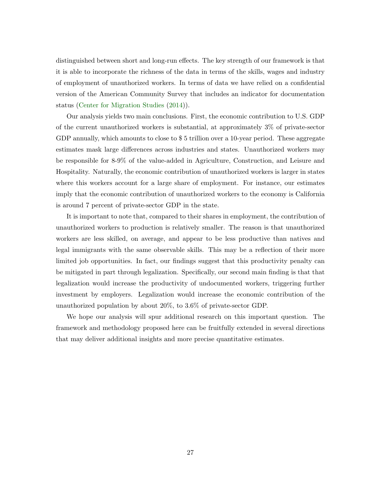distinguished between short and long-run effects. The key strength of our framework is that it is able to incorporate the richness of the data in terms of the skills, wages and industry of employment of unauthorized workers. In terms of data we have relied on a confidential version of the American Community Survey that includes an indicator for documentation status [\(Center for Migration Studies](#page-30-1) [\(2014\)](#page-30-1)).

Our analysis yields two main conclusions. First, the economic contribution to U.S. GDP of the current unauthorized workers is substantial, at approximately 3% of private-sector GDP annually, which amounts to close to \$5 trillion over a 10-year period. These aggregate estimates mask large differences across industries and states. Unauthorized workers may be responsible for 8-9% of the value-added in Agriculture, Construction, and Leisure and Hospitality. Naturally, the economic contribution of unauthorized workers is larger in states where this workers account for a large share of employment. For instance, our estimates imply that the economic contribution of unauthorized workers to the economy is California is around 7 percent of private-sector GDP in the state.

It is important to note that, compared to their shares in employment, the contribution of unauthorized workers to production is relatively smaller. The reason is that unauthorized workers are less skilled, on average, and appear to be less productive than natives and legal immigrants with the same observable skills. This may be a reflection of their more limited job opportunities. In fact, our findings suggest that this productivity penalty can be mitigated in part through legalization. Specifically, our second main finding is that that legalization would increase the productivity of undocumented workers, triggering further investment by employers. Legalization would increase the economic contribution of the unauthorized population by about 20%, to 3.6% of private-sector GDP.

We hope our analysis will spur additional research on this important question. The framework and methodology proposed here can be fruitfully extended in several directions that may deliver additional insights and more precise quantitative estimates.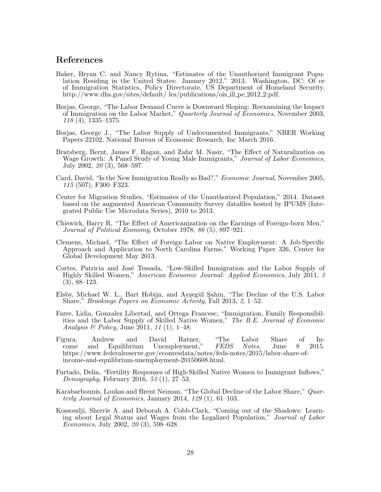#### References

- <span id="page-30-5"></span>Baker, Bryan C. and Nancy Rytina, "Estimates of the Unauthorized Immigrant Population Residing in the United States: January 2012," 2013. Washington, DC: Of ce of Immigration Statistics, Policy Directorate, US Department of Homeland Security. http://www.dhs.gov/sites/default/ les/publications/ois ill pe 2012 2.pdf.
- <span id="page-30-0"></span>Borjas, George, "The Labor Demand Curve is Downward Sloping: Reexamining the Impact of Immigration on the Labor Market," Quarterly Journal of Economics, November 2003, 118 (4), 1335–1375.
- <span id="page-30-6"></span>Borjas, George J., "The Labor Supply of Undocumented Immigrants," NBER Working Papers 22102, National Bureau of Economic Research, Inc March 2016.
- <span id="page-30-3"></span>Bratsberg, Bernt, James F. Ragan, and Zafar M. Nasir, "The Effect of Naturalization on Wage Growth: A Panel Study of Young Male Immigrants," Journal of Labor Economics, July 2002, 20 (3), 568–597.
- <span id="page-30-11"></span>Card, David, "Is the New Immigration Really so Bad?," Economic Journal, November 2005, 115 (507), F300–F323.
- <span id="page-30-1"></span>Center for Migration Studies, "Estimates of the Unauthorized Population," 2014. Dataset based on the augmented American Community Survey datafiles hosted by IPUMS (Integrated Public Use Microdata Series), 2010 to 2013.
- <span id="page-30-2"></span>Chiswick, Barry R, "The Effect of Americanization on the Earnings of Foreign-born Men," Journal of Political Economy, October 1978, 86 (5), 897–921.
- <span id="page-30-10"></span>Clemens, Michael, "The Effect of Foreign Labor on Native Employment: A Job-Specific Approach and Application to North Carolina Farms," Working Paper 326, Center for Global Development May 2013.
- <span id="page-30-12"></span>Cortes, Patricia and José Tessada, "Low-Skilled Immigration and the Labor Supply of Highly Skilled Women," American Economic Journal: Applied Economics, July 2011, 3 (3), 88–123.
- <span id="page-30-8"></span>Elsby, Michael W. L., Bart Hobijn, and Ayşegül Sahin, "The Decline of the U.S. Labor Share," Brookings Papers on Economic Activity, Fall 2013, 2, 1–52.
- <span id="page-30-13"></span>Farre, Lidia, Gonzalez Libertad, and Ortega Francesc, "Immigration, Family Responsibilities and the Labor Supply of Skilled Native Women," The B.E. Journal of Economic Analysis & Policy, June 2011, 11 (1), 1-48.
- <span id="page-30-7"></span>Figura, Andrew and David Ratner, "The Labor Share of Income and Equilibrium Unemployment," FEDS Notes, June 8 2015. https://www.federalreserve.gov/econresdata/notes/feds-notes/2015/labor-share-ofincome-and-equilibrium-unemployment-20150608.html.
- <span id="page-30-14"></span>Furtado, Delia, "Fertility Responses of High-Skilled Native Women to Immigrant Inflows," Demography, February 2016, 53 (1), 27–53.
- <span id="page-30-9"></span>Karabarbounis, Loukas and Brent Neiman, "The Global Decline of the Labor Share," Quarterly Journal of Economics, January 2014,  $129(1)$ ,  $61-103$ .
- <span id="page-30-4"></span>Kossoudji, Sherrie A. and Deborah A. Cobb-Clark, "Coming out of the Shadows: Learning about Legal Status and Wages from the Legalized Population," Journal of Labor Economics, July 2002, 20 (3), 598–628.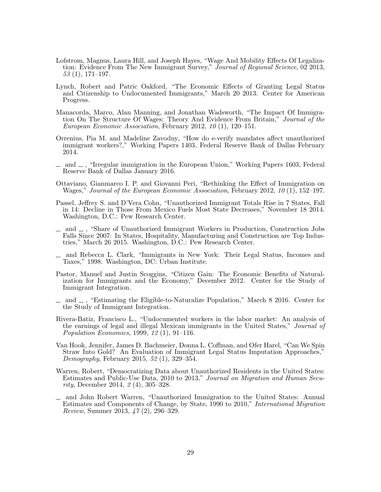- <span id="page-31-3"></span>Lofstrom, Magnus, Laura Hill, and Joseph Hayes, "Wage And Mobility Effects Of Legalization: Evidence From The New Immigrant Survey," Journal of Regional Science, 02 2013,  $53(1), 171-197.$
- <span id="page-31-4"></span>Lynch, Robert and Patric Oakford, "The Economic Effects of Granting Legal Status and Citizenship to Undocumented Immigrants," March 20 2013. Center for American Progress.
- <span id="page-31-1"></span>Manacorda, Marco, Alan Manning, and Jonathan Wadsworth, "The Impact Of Immigration On The Structure Of Wages: Theory And Evidence From Britain," Journal of the European Economic Association, February 2012, 10 (1), 120–151.
- <span id="page-31-14"></span>Orrenius, Pia M. and Madeline Zavodny, "How do e-verify mandates affect unauthorized immigrant workers?," Working Papers 1403, Federal Reserve Bank of Dallas February 2014.
- <span id="page-31-2"></span> $\mu$  and  $\mu$ , "Irregular immigration in the European Union," Working Papers 1603, Federal Reserve Bank of Dallas January 2016.
- <span id="page-31-0"></span>Ottaviano, Gianmarco I. P. and Giovanni Peri, "Rethinking the Effect of Immigration on Wages," Journal of the European Economic Association, February 2012, 10 (1), 152–197.
- <span id="page-31-10"></span>Passel, Jeffrey S. and D'Vera Cohn, "Unauthorized Immigrant Totals Rise in 7 States, Fall in 14: Decline in Those From Mexico Fuels Most State Decreases," November 18 2014. Washington, D.C.: Pew Research Center.
- <span id="page-31-11"></span> $\Box$  and  $\Box$ , "Share of Unauthorized Immigrant Workers in Production, Construction Jobs Falls Since 2007: In States, Hospitality, Manufacturing and Construction are Top Industries," March 26 2015. Washington, D.C.: Pew Research Center.
- <span id="page-31-8"></span>and Rebecca L. Clark, "Immigrants in New York: Their Legal Status, Incomes and Taxes," 1998. Washington, DC: Urban Institute.
- <span id="page-31-5"></span>Pastor, Manuel and Justin Scoggins, "Citizen Gain: The Economic Benefits of Naturalization for Immigrants and the Economy," December 2012. Center for the Study of Immigrant Integration.
- <span id="page-31-12"></span>and  $\equiv$ , "Estimating the Eligible-to-Naturalize Population," March 8 2016. Center for the Study of Immigrant Integration.
- <span id="page-31-6"></span>Rivera-Batiz, Francisco L., "Undocumented workers in the labor market: An analysis of the earnings of legal and illegal Mexican immigrants in the United States," Journal of Population Economics, 1999, 12 (1), 91–116.
- <span id="page-31-13"></span>Van Hook, Jennifer, James D. Bachmeier, Donna L. Coffman, and Ofer Harel, "Can We Spin Straw Into Gold? An Evaluation of Immigrant Legal Status Imputation Approaches," Demography, February 2015, 52 (1), 329–354.
- <span id="page-31-7"></span>Warren, Robert, "Democratizing Data about Unauthorized Residents in the United States: Estimates and Public-Use Data, 2010 to 2013," Journal on Migration and Human Security, December 2014, 2 (4), 305–328.
- <span id="page-31-9"></span>and John Robert Warren, "Unauthorized Immigration to the United States: Annual Estimates and Components of Change, by State, 1990 to 2010," International Migration Review, Summer 2013, 47 (2), 296–329.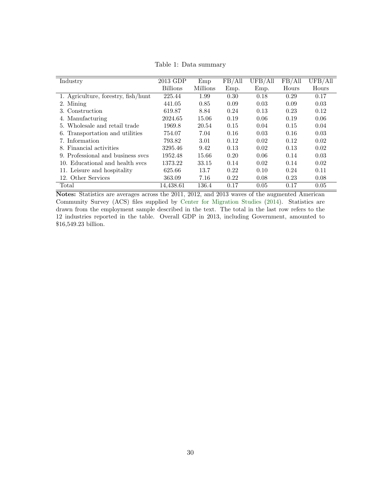<span id="page-32-0"></span>

| Industry                            | 2013 GDP        | Emp             | FB/All | UFB/All | FB/All | UFB/All |
|-------------------------------------|-----------------|-----------------|--------|---------|--------|---------|
|                                     | <b>Billions</b> | <b>Millions</b> | Emp.   | Emp.    | Hours  | Hours   |
| 1. Agriculture, forestry, fish/hunt | 225.44          | 1.99            | 0.30   | 0.18    | 0.29   | 0.17    |
| 2. Mining                           | 441.05          | 0.85            | 0.09   | 0.03    | 0.09   | 0.03    |
| 3. Construction                     | 619.87          | 8.84            | 0.24   | 0.13    | 0.23   | 0.12    |
| 4. Manufacturing                    | 2024.65         | 15.06           | 0.19   | 0.06    | 0.19   | 0.06    |
| Wholesale and retail trade<br>5.    | 1969.8          | 20.54           | 0.15   | 0.04    | 0.15   | 0.04    |
| 6. Transportation and utilities     | 754.07          | 7.04            | 0.16   | 0.03    | 0.16   | 0.03    |
| 7. Information                      | 793.82          | 3.01            | 0.12   | 0.02    | 0.12   | 0.02    |
| 8. Financial activities             | 3295.46         | 9.42            | 0.13   | 0.02    | 0.13   | 0.02    |
| 9. Professional and business sycs   | 1952.48         | 15.66           | 0.20   | 0.06    | 0.14   | 0.03    |
| 10. Educational and health sycs     | 1373.22         | 33.15           | 0.14   | 0.02    | 0.14   | 0.02    |
| 11. Leisure and hospitality         | 625.66          | 13.7            | 0.22   | 0.10    | 0.24   | 0.11    |
| 12. Other Services                  | 363.09          | 7.16            | 0.22   | 0.08    | 0.23   | 0.08    |
| Total                               | 14,438.61       | 136.4           | 0.17   | 0.05    | 0.17   | 0.05    |

Table 1: Data summary

Notes: Statistics are averages across the 2011, 2012, and 2013 waves of the augmented American Community Survey (ACS) files supplied by [Center for Migration Studies](#page-30-1) [\(2014\)](#page-30-1). Statistics are drawn from the employment sample described in the text. The total in the last row refers to the 12 industries reported in the table. Overall GDP in 2013, including Government, amounted to \$16,549.23 billion.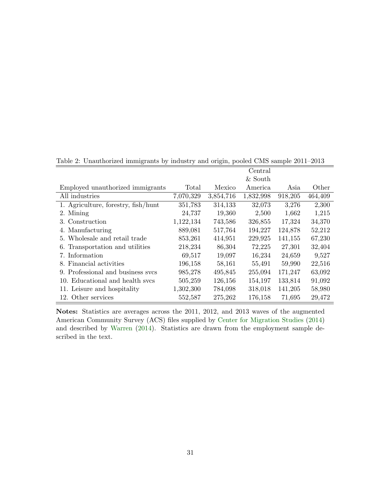|                                     |           |           | Central   |         |         |
|-------------------------------------|-----------|-----------|-----------|---------|---------|
|                                     |           |           | & South   |         |         |
| Employed unauthorized immigrants    | Total     | Mexico    | America   | Asia    | Other   |
| All industries                      | 7,070,329 | 3,854,716 | 1,832,998 | 918,205 | 464,409 |
| 1. Agriculture, forestry, fish/hunt | 351,783   | 314,133   | 32,073    | 3,276   | 2,300   |
| 2. Mining                           | 24,737    | 19,360    | 2,500     | 1,662   | 1,215   |
| 3. Construction                     | 1,122,134 | 743,586   | 326,855   | 17,324  | 34,370  |
| 4. Manufacturing                    | 889,081   | 517,764   | 194,227   | 124,878 | 52,212  |
| 5. Wholesale and retail trade       | 853,261   | 414,951   | 229,925   | 141,155 | 67,230  |
| 6. Transportation and utilities     | 218,234   | 86,304    | 72,225    | 27,301  | 32,404  |
| 7. Information                      | 69,517    | 19,097    | 16,234    | 24,659  | 9,527   |
| 8. Financial activities             | 196,158   | 58,161    | 55,491    | 59,990  | 22,516  |
| 9. Professional and business sycs   | 985,278   | 495,845   | 255,094   | 171,247 | 63,092  |
| 10. Educational and health sycs     | 505,259   | 126,156   | 154,197   | 133,814 | 91,092  |
| 11. Leisure and hospitality         | 1,302,300 | 784,098   | 318,018   | 141,205 | 58,980  |
| 12. Other services                  | 552,587   | 275,262   | 176,158   | 71,695  | 29,472  |

<span id="page-33-0"></span>Table 2: Unauthorized immigrants by industry and origin, pooled CMS sample 2011–2013

Notes: Statistics are averages across the 2011, 2012, and 2013 waves of the augmented American Community Survey (ACS) files supplied by [Center for Migration Studies](#page-30-1) [\(2014\)](#page-30-1) and described by [Warren](#page-31-7) [\(2014\)](#page-31-7). Statistics are drawn from the employment sample described in the text.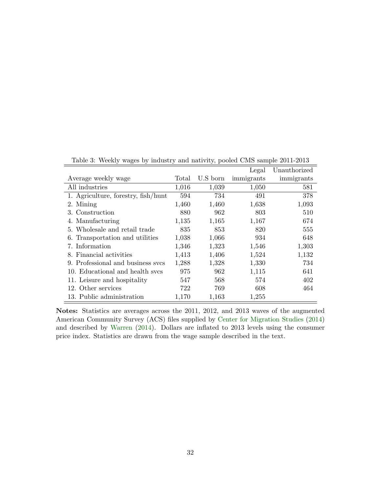|                                     |       |          | Legal      | Unauthorized |
|-------------------------------------|-------|----------|------------|--------------|
| Average weekly wage                 | Total | U.S born | immigrants | immigrants   |
| All industries                      | 1,016 | 1,039    | 1,050      | 581          |
| 1. Agriculture, forestry, fish/hunt | 594   | 734      | 491        | 378          |
| 2. Mining                           | 1,460 | 1,460    | 1,638      | 1,093        |
| 3. Construction                     | 880   | 962      | 803        | 510          |
| 4. Manufacturing                    | 1,135 | 1,165    | 1,167      | 674          |
| 5. Wholesale and retail trade       | 835   | 853      | 820        | 555          |
| 6. Transportation and utilities     | 1,038 | 1,066    | 934        | 648          |
| 7. Information                      | 1,346 | 1,323    | 1,546      | 1,303        |
| 8. Financial activities             | 1,413 | 1,406    | 1,524      | 1,132        |
| 9. Professional and business sycs   | 1,288 | 1,328    | 1,330      | 734          |
| 10. Educational and health sycs     | 975   | 962      | 1,115      | 641          |
| 11. Leisure and hospitality         | 547   | 568      | 574        | 402          |
| 12. Other services                  | 722   | 769      | 608        | 464          |
| 13. Public administration           | 1,170 | 1,163    | 1,255      |              |

<span id="page-34-0"></span>Table 3: Weekly wages by industry and nativity, pooled CMS sample 2011-2013

Notes: Statistics are averages across the 2011, 2012, and 2013 waves of the augmented American Community Survey (ACS) files supplied by [Center for Migration Studies](#page-30-1) [\(2014\)](#page-30-1) and described by [Warren](#page-31-7) [\(2014\)](#page-31-7). Dollars are inflated to 2013 levels using the consumer price index. Statistics are drawn from the wage sample described in the text.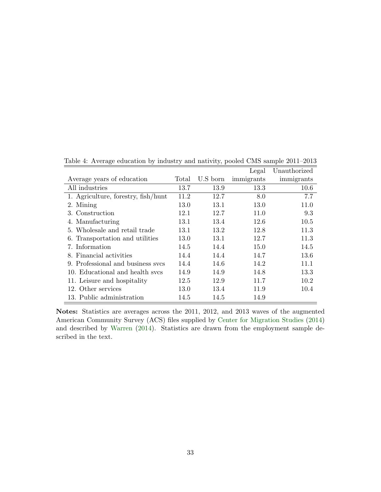|                                     |       |          | Legal      | Unauthorized |
|-------------------------------------|-------|----------|------------|--------------|
| Average years of education          | Total | U.S born | immigrants | immigrants   |
| All industries                      | 13.7  | 13.9     | 13.3       | 10.6         |
| 1. Agriculture, forestry, fish/hunt | 11.2  | 12.7     | 8.0        | 7.7          |
| 2. Mining                           | 13.0  | 13.1     | 13.0       | 11.0         |
| 3. Construction                     | 12.1  | 12.7     | 11.0       | 9.3          |
| 4. Manufacturing                    | 13.1  | 13.4     | 12.6       | 10.5         |
| 5. Wholesale and retail trade       | 13.1  | 13.2     | 12.8       | 11.3         |
| 6. Transportation and utilities     | 13.0  | 13.1     | 12.7       | 11.3         |
| 7. Information                      | 14.5  | 14.4     | 15.0       | 14.5         |
| 8. Financial activities             | 14.4  | 14.4     | 14.7       | 13.6         |
| 9. Professional and business sycs   | 14.4  | 14.6     | 14.2       | 11.1         |
| 10. Educational and health sycs     | 14.9  | 14.9     | 14.8       | 13.3         |
| 11. Leisure and hospitality         | 12.5  | 12.9     | 11.7       | 10.2         |
| 12. Other services                  | 13.0  | 13.4     | 11.9       | 10.4         |
| 13. Public administration           | 14.5  | 14.5     | 14.9       |              |

<span id="page-35-0"></span>Table 4: Average education by industry and nativity, pooled CMS sample 2011–2013

Notes: Statistics are averages across the 2011, 2012, and 2013 waves of the augmented American Community Survey (ACS) files supplied by [Center for Migration Studies](#page-30-1) [\(2014\)](#page-30-1) and described by [Warren](#page-31-7) [\(2014\)](#page-31-7). Statistics are drawn from the employment sample described in the text.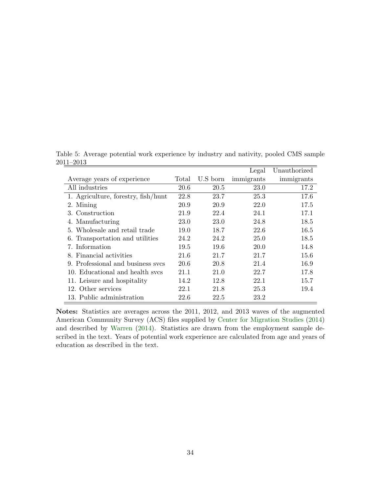|                                     |       |          | Legal      | Unauthorized |
|-------------------------------------|-------|----------|------------|--------------|
| Average years of experience         | Total | U.S born | immigrants | immigrants   |
| All industries                      | 20.6  | 20.5     | 23.0       | 17.2         |
| 1. Agriculture, forestry, fish/hunt | 22.8  | 23.7     | 25.3       | 17.6         |
| 2. Mining                           | 20.9  | 20.9     | 22.0       | 17.5         |
| 3. Construction                     | 21.9  | 22.4     | 24.1       | 17.1         |
| 4. Manufacturing                    | 23.0  | 23.0     | 24.8       | 18.5         |
| 5. Wholesale and retail trade       | 19.0  | 18.7     | 22.6       | 16.5         |
| 6. Transportation and utilities     | 24.2  | 24.2     | 25.0       | 18.5         |
| 7. Information                      | 19.5  | 19.6     | 20.0       | 14.8         |
| 8. Financial activities             | 21.6  | 21.7     | 21.7       | 15.6         |
| 9. Professional and business sycs   | 20.6  | 20.8     | 21.4       | 16.9         |
| 10. Educational and health svcs     | 21.1  | 21.0     | 22.7       | 17.8         |
| 11. Leisure and hospitality         | 14.2  | 12.8     | 22.1       | 15.7         |
| 12. Other services                  | 22.1  | 21.8     | 25.3       | 19.4         |
| 13. Public administration           | 22.6  | 22.5     | 23.2       |              |

<span id="page-36-0"></span>Table 5: Average potential work experience by industry and nativity, pooled CMS sample 2011–2013

Notes: Statistics are averages across the 2011, 2012, and 2013 waves of the augmented American Community Survey (ACS) files supplied by [Center for Migration Studies](#page-30-1) [\(2014\)](#page-30-1) and described by [Warren](#page-31-7) [\(2014\)](#page-31-7). Statistics are drawn from the employment sample described in the text. Years of potential work experience are calculated from age and years of education as described in the text.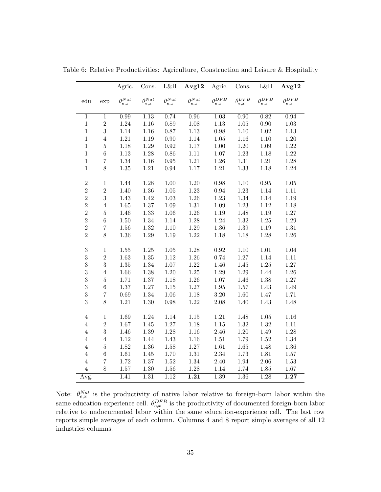|                  |                     | Agric.                 | Cons.                | L&H                    | Avg12                  | Agric.             | Cons.                  | L&H                    | Avg12                  |
|------------------|---------------------|------------------------|----------------------|------------------------|------------------------|--------------------|------------------------|------------------------|------------------------|
| edu              | exp                 | $\theta^{Nat}$<br>e, x | $\theta_{e,x}^{Nat}$ | $\theta^{Nat}$<br>e, x | $\theta^{Nat}$<br>e, x | $\rho$ DFB<br>e, x | $\theta^{DFB}$<br>e, x | $\theta^{DFB}$<br>e, x | $\theta^{DFB}$<br>e, x |
| $\,1$            | $\mathbf 1$         | 0.99                   | 1.13                 | 0.74                   | 0.96                   | 1.03               | 0.90                   | 0.82                   | 0.94                   |
| $\,1$            | $\overline{2}$      | $1.24\,$               | $1.16\,$             | $0.89\,$               | 1.08                   | 1.13               | $1.05\,$               | $0.90\,$               | $1.03\,$               |
| $\,1$            | 3                   | 1.14                   | 1.16                 | 0.87                   | 1.13                   | 0.98               | 1.10                   | $1.02\,$               | $1.13\,$               |
| $\,1$            | $\overline{4}$      | $1.21\,$               | 1.19                 | $0.90\,$               | 1.14                   | $1.05\,$           | 1.16                   | $1.10\,$               | $1.20\,$               |
| $\,1$            | $\overline{5}$      | 1.18                   | $1.29\,$             | $\rm 0.92$             | 1.17                   | 1.00               | 1.20                   | 1.09                   | 1.22                   |
| $\,1$            | $\overline{6}$      | $1.13\,$               | $1.28\,$             | $0.86\,$               | 1.11                   | $1.07\,$           | $1.23\,$               | 1.18                   | $1.22\,$               |
| $\mathbf{1}$     | $\overline{7}$      | 1.34                   | $1.16\,$             | 0.95                   | 1.21                   | 1.26               | $1.31\,$               | $1.21\,$               | 1.28                   |
| $\,1$            | 8                   | $1.35\,$               | 1.21                 | $\rm 0.94$             | 1.17                   | 1.21               | 1.33                   | 1.18                   | 1.24                   |
|                  |                     |                        |                      |                        |                        |                    |                        |                        |                        |
| $\overline{2}$   | $\mathbf 1$         | 1.44                   | 1.28                 | 1.00                   | 1.20                   | 0.98               | 1.10                   | 0.95                   | 1.05                   |
| $\overline{2}$   | $\overline{2}$<br>3 | 1.40                   | $1.36\,$             | $1.05\,$               | 1.23                   | 0.94               | 1.23                   | 1.14                   | 1.11                   |
| $\overline{2}$   |                     | 1.43                   | 1.42                 | 1.03                   | 1.26                   | 1.23               | 1.34                   | 1.14                   | 1.19                   |
| $\overline{2}$   | $\overline{4}$      | $1.65\,$               | $1.37\,$             | $1.09\,$               | $1.31\,$               | 1.09               | 1.23                   | 1.12                   | 1.18                   |
| $\overline{2}$   | $\overline{5}$      | 1.46                   | 1.33                 | $1.06\,$               | 1.26                   | 1.19               | 1.48                   | $1.19\,$               | $1.27\,$               |
| $\overline{2}$   | $\overline{6}$      | $1.50\,$               | 1.34                 | 1.14                   | 1.28                   | 1.24               | 1.32                   | $1.25\,$               | $1.29\,$               |
| $\overline{2}$   | $\overline{7}$      | 1.56                   | 1.32                 | $1.10\,$               | 1.29                   | 1.36               | 1.39                   | 1.19                   | $1.31\,$               |
| $\overline{2}$   | 8                   | $1.36\,$               | 1.29                 | 1.19                   | 1.22                   | 1.18               | 1.18                   | 1.28                   | $1.26\,$               |
| $\boldsymbol{3}$ | $\,1$               | 1.55                   | $1.25\,$             | $1.05\,$               | 1.28                   | 0.92               | 1.10                   | 1.01                   | 1.04                   |
| 3                | $\overline{2}$      | 1.63                   | $1.35\,$             | 1.12                   | 1.26                   | 0.74               | $1.27\,$               | 1.14                   | 1.11                   |
| 3                | 3                   | $1.35\,$               | 1.34                 | $1.07\,$               | 1.22                   | 1.46               | 1.45                   | 1.25                   | $1.27\,$               |
| 3                | $\overline{4}$      | 1.66                   | 1.38                 | $1.20\,$               | $1.25\,$               | 1.29               | $1.29\,$               | 1.44                   | 1.26                   |
| 3                | $\overline{5}$      | 1.71                   | $1.37\,$             | 1.18                   | $1.26\,$               | 1.07               | 1.46                   | 1.38                   | $1.27\,$               |
| 3                | $\,$ 6 $\,$         | $1.37\,$               | $1.27\,$             | $1.15\,$               | 1.27                   | $1.95\,$           | $1.57\,$               | 1.43                   | 1.49                   |
| 3                | $\overline{7}$      | $0.69\,$               | 1.34                 | $1.06\,$               | 1.18                   | $3.20\,$           | 1.60                   | 1.47                   | 1.71                   |
| 3                | 8                   | 1.21                   | $1.30\,$             | 0.98                   | 1.22                   | 2.08               | 1.40                   | 1.43                   | 1.48                   |
|                  |                     |                        |                      |                        |                        |                    |                        |                        |                        |
| $\overline{4}$   | $\mathbf 1$         | 1.69                   | 1.24                 | 1.14                   | 1.15                   | 1.21               | 1.48                   | 1.05                   | 1.16                   |
| $\overline{4}$   | $\overline{2}$      | 1.67                   | $1.45\,$             | $1.27\,$               | 1.18                   | $1.15\,$           | 1.32                   | $1.32\,$               | $1.11\,$               |
| $\overline{4}$   | 3                   | 1.46                   | $1.39\,$             | 1.28                   | 1.16                   | 2.46               | 1.20                   | 1.49                   | 1.28                   |
| $\overline{4}$   | $\overline{4}$      | 1.12                   | 1.44                 | 1.43                   | 1.16                   | $1.51\,$           | 1.79                   | 1.52                   | 1.34                   |
| $\,4\,$          | $\overline{5}$      | 1.82                   | $1.36\,$             | 1.58                   | 1.27                   | 1.61               | $1.65\,$               | 1.48                   | $1.36\,$               |
| $\overline{4}$   | $\overline{6}$      | 1.61                   | 1.45                 | 1.70                   | 1.31                   | 2.34               | 1.73                   | 1.81                   | 1.57                   |
| $\overline{4}$   | $\overline{7}$      | 1.72                   | $1.37\,$             | $1.52\,$               | 1.34                   | 2.40               | 1.94                   | 2.06                   | 1.53                   |
| $\overline{4}$   | 8                   | 1.57                   | 1.30                 | 1.56                   | 1.28                   | 1.14               | 1.74                   | 1.85                   | 1.67                   |
| Avg.             |                     | 1.41                   | 1.31                 | 1.12                   | $\overline{1.21}$      | 1.39               | 1.36                   | 1.28                   | $\overline{1.27}$      |

<span id="page-37-0"></span>Table 6: Relative Productivities: Agriculture, Construction and Leisure & Hospitality

Note:  $\theta_{e,x}^{Nat}$  is the productivity of native labor relative to foreign-born labor within the same education-experience cell.  $\theta_{e,x}^{DFB}$  is the productivity of documented foreign-born labor relative to undocumented labor within the same education-experience cell. The last row reports simple averages of each column. Columns 4 and 8 report simple averages of all 12 industries columns.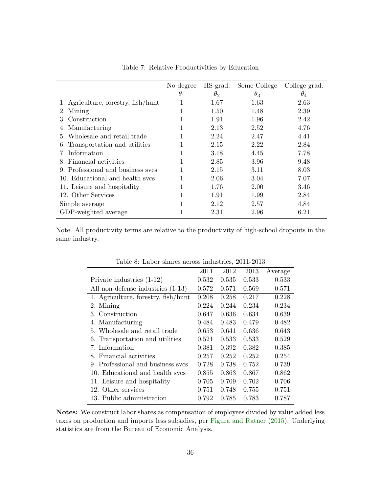<span id="page-38-0"></span>

|                                     | No degree  | HS grad.   | Some College | College grad. |
|-------------------------------------|------------|------------|--------------|---------------|
|                                     | $\theta_1$ | $\theta_2$ | $\theta_3$   | $\theta_4$    |
| 1. Agriculture, forestry, fish/hunt | 1          | 1.67       | 1.63         | 2.63          |
| 2. Mining                           |            | 1.50       | 1.48         | 2.39          |
| 3. Construction                     |            | 1.91       | 1.96         | 2.42          |
| 4. Manufacturing                    |            | 2.13       | 2.52         | 4.76          |
| 5. Wholesale and retail trade       |            | 2.24       | 2.47         | 4.41          |
| 6. Transportation and utilities     |            | 2.15       | 2.22         | 2.84          |
| 7. Information                      | -1         | 3.18       | 4.45         | 7.78          |
| 8. Financial activities             |            | 2.85       | 3.96         | 9.48          |
| 9. Professional and business sycs   |            | 2.15       | 3.11         | 8.03          |
| 10. Educational and health sycs     |            | 2.06       | 3.04         | 7.07          |
| 11. Leisure and hospitality         |            | 1.76       | 2.00         | 3.46          |
| 12. Other Services                  | 1          | 1.91       | 1.99         | 2.84          |
| Simple average                      | 1          | 2.12       | 2.57         | 4.84          |
| GDP-weighted average                |            | 2.31       | 2.96         | 6.21          |

Table 7: Relative Productivities by Education

<span id="page-38-1"></span>Note: All productivity terms are relative to the productivity of high-school dropouts in the same industry.

|                                     | 2011  | 2012  | 2013  | Average |
|-------------------------------------|-------|-------|-------|---------|
| Private industries $(1-12)$         | 0.532 | 0.535 | 0.533 | 0.533   |
| All non-defense industries (1-13)   | 0.572 | 0.571 | 0.569 | 0.571   |
| 1. Agriculture, forestry, fish/hunt | 0.208 | 0.258 | 0.217 | 0.228   |
| 2. Mining                           | 0.224 | 0.244 | 0.234 | 0.234   |
| 3. Construction                     | 0.647 | 0.636 | 0.634 | 0.639   |
| 4. Manufacturing                    | 0.484 | 0.483 | 0.479 | 0.482   |
| 5. Wholesale and retail trade       | 0.653 | 0.641 | 0.636 | 0.643   |
| 6. Transportation and utilities     | 0.521 | 0.533 | 0.533 | 0.529   |
| 7. Information                      | 0.381 | 0.392 | 0.382 | 0.385   |
| 8. Financial activities             | 0.257 | 0.252 | 0.252 | 0.254   |
| 9. Professional and business sycs   | 0.728 | 0.738 | 0.752 | 0.739   |
| 10. Educational and health sycs     | 0.855 | 0.863 | 0.867 | 0.862   |
| 11. Leisure and hospitality         | 0.705 | 0.709 | 0.702 | 0.706   |
| 12. Other services                  | 0.751 | 0.748 | 0.755 | 0.751   |
| 13. Public administration           | 0.792 | 0.785 | 0.783 | 0.787   |

Table 8: Labor shares across industries, 2011-2013

Notes: We construct labor shares as compensation of employees divided by value added less taxes on production and imports less subsidies, per [Figura and Ratner](#page-30-7) [\(2015\)](#page-30-7). Underlying statistics are from the Bureau of Economic Analysis.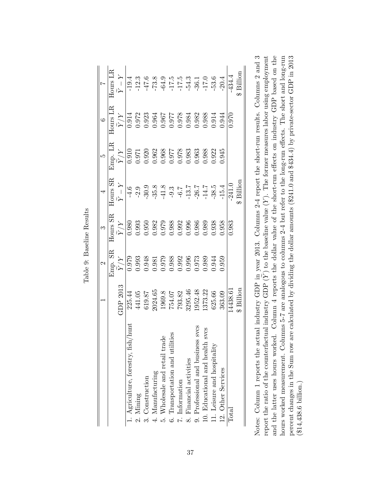|                                                                        |             |                |                                                                                                                                                                                                                                                                       |                                                                                 | $\vert$ ar $\vert$                                                                       |                                                                                               |                                                                                                        |
|------------------------------------------------------------------------|-------------|----------------|-----------------------------------------------------------------------------------------------------------------------------------------------------------------------------------------------------------------------------------------------------------------------|---------------------------------------------------------------------------------|------------------------------------------------------------------------------------------|-----------------------------------------------------------------------------------------------|--------------------------------------------------------------------------------------------------------|
|                                                                        |             | Jmp. SR        | Hours SR                                                                                                                                                                                                                                                              | Hours SR                                                                        | Emp. LR                                                                                  | $\begin{array}{c}\n 6 \\  \hline\n \text{Hours LR}\n \end{array}$                             | Hours LR                                                                                               |
|                                                                        | GI02 2013   | $\tilde{Y}/Y$  | $\tilde{Y}/Y$                                                                                                                                                                                                                                                         | $\,Y-Y\,$                                                                       | $\widetilde{Y}/Y$                                                                        | $\widetilde{Y}/Y$                                                                             | $\tilde{Y}-Y$                                                                                          |
| hiin<br>1. Agriculture, forestry, fish                                 | 225.44      | 0.979          | $\overline{0.980}$                                                                                                                                                                                                                                                    | $\frac{9}{1}$                                                                   |                                                                                          |                                                                                               | $-19.4$                                                                                                |
| Mining<br>$\frac{1}{2}$                                                | 441.05      | 0.993          |                                                                                                                                                                                                                                                                       | $-2.9$                                                                          | $\frac{1260}{0.971}$                                                                     |                                                                                               | $-12.3$                                                                                                |
| Construction                                                           | 619.87      | 0.948          | $\begin{array}{l} 0.993\\ 0.950\\ 0.952\\ 0.979\\ 0.988\\ 0.903\\ 0.903\\ 0.903\\ 0.903\\ 0.903\\ 0.903\\ 0.903\\ 0.903\\ 0.903\\ 0.903\\ 0.903\\ 0.903\\ 0.903\\ 0.903\\ 0.903\\ 0.903\\ 0.903\\ 0.903\\ 0.903\\ 0.903\\ 0.903\\ 0.903\\ 0.903\\ 0.903\\ 0.903\\ 0.$ | $-30.9$<br>$-35.8$<br>$-41.3$<br>$-6.7$<br>$-1.3$<br>$-1.4$<br>$-1.4$<br>$-3.8$ | $0.920$<br>$0.962$                                                                       | $\overline{0.972}$<br>0.972<br>0.984<br>0.964                                                 | $-47.6$<br>$-73.8$<br>$-64.9$<br>$-17.5$<br>$-7.4$<br>$-3.6$<br>$-17.5$<br>$-3.6$<br>$-17.5$<br>$-3.3$ |
| Manufacturing<br>$\ddot{ }$                                            | 2024.65     | 0.981          |                                                                                                                                                                                                                                                                       |                                                                                 |                                                                                          |                                                                                               |                                                                                                        |
| $\circ$<br>Wholesale and retail trac<br>r.<br>E                        | 1969.8      | 0.979          |                                                                                                                                                                                                                                                                       |                                                                                 |                                                                                          |                                                                                               |                                                                                                        |
| es.<br>Transportation and utilit<br>$\ddot{\circ}$                     | 754.07      | 0.988          |                                                                                                                                                                                                                                                                       |                                                                                 | $\begin{array}{c} 68 \\ 716.0 \\ 1978 \\ 880.0 \\ 880.0 \\ 1963 \\ 896.0 \\ \end{array}$ | $\begin{array}{l} 886.0 \\ 170.0 \\ 240.0 \\ 176.0 \\ 176.0 \\ 196.0 \\ 196.0 \\ \end{array}$ |                                                                                                        |
| 7. Information                                                         | 793.82      | 0.992          |                                                                                                                                                                                                                                                                       |                                                                                 |                                                                                          |                                                                                               |                                                                                                        |
| 8. Financial activities                                                | 3295.46     | 0.996<br>0.973 |                                                                                                                                                                                                                                                                       |                                                                                 |                                                                                          |                                                                                               |                                                                                                        |
| <b>SVCS</b>                                                            | 1952.48     |                |                                                                                                                                                                                                                                                                       |                                                                                 |                                                                                          |                                                                                               |                                                                                                        |
| <b>SVCS</b><br>9. Professional and business 10. Educational and health | 1373.22     | 0.989          |                                                                                                                                                                                                                                                                       |                                                                                 | 0.988                                                                                    |                                                                                               |                                                                                                        |
| $11.$ Leisure and hospitality                                          | 625.66      | 1.944          | 0.38                                                                                                                                                                                                                                                                  |                                                                                 | 0.22                                                                                     | 0.914                                                                                         |                                                                                                        |
| 12. Other Services                                                     | 363.09      | 1.959          | 1.958                                                                                                                                                                                                                                                                 | $-15.4$                                                                         | 1.945                                                                                    | 0.944                                                                                         | $-20.4$                                                                                                |
| Total                                                                  | 14438.61    |                | 0.983                                                                                                                                                                                                                                                                 | $-241.0$                                                                        |                                                                                          | 0.970                                                                                         | -434.4                                                                                                 |
|                                                                        | $$$ Billion |                |                                                                                                                                                                                                                                                                       | Billion                                                                         |                                                                                          |                                                                                               | Billion                                                                                                |
|                                                                        |             |                |                                                                                                                                                                                                                                                                       |                                                                                 |                                                                                          |                                                                                               |                                                                                                        |

<span id="page-39-0"></span>Table 9: Baseline Results Table 9: Baseline Results Notes: Column 1 reports the actual industry GDP in year 2013. Columns 2-4 report the short-run results. Columns 2 and 3 and the latter uses hours worked. Column 4 reports the dollar value of the short-run effects on industry GDP based on the hours worked measurement. Columns 5-7 are analogous to columns 2-4 but refer to the long-run effects. The short and long-run percent changes in the Sum row are calculated by dividing the dollar amounts  $(\$241.0$  and  $\$434.4)$  by private-sector GDP in 2013  $Y)$  to the baseline value  $(Y)$ . The former measures labor using employment and the latter uses hours worked. Column 4 reports the dollar value of the short-run effects on industry GDP based on the hours worked measurement. Columns 5-7 are analogous to columns 2-4 but refer to the long-run effects. The short and long-run percent changes in the Sum row are calculated by dividing the dollar amounts (\$241.0 and \$434.4) by private-sector GDP in 2013 ∑<br> report the ratio of the counterfactual industry GDP (  $(\$14,438.6\text{ billion.})$ (\$14,438.6 billion.)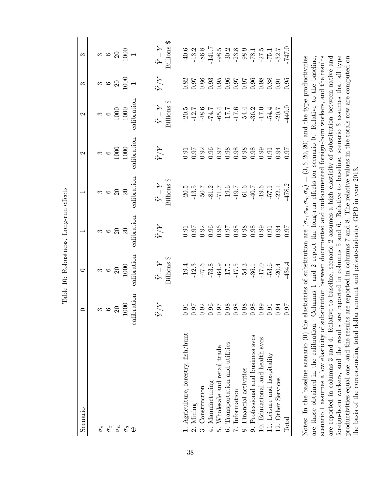<span id="page-40-0"></span>

| Scenario                                                                                                                                                                           | $\circ$                        | $\circ$                                                                                                                                                                                                                                                                                                       | $\overline{\phantom{0}}$                   |                                                                                                                                                        | $\mathbf{\Omega}$                                                     | $\mathcal{C}$                                                                            | S                                                                                                               | S                                                                                                                                                                                                                                                                                                                   |
|------------------------------------------------------------------------------------------------------------------------------------------------------------------------------------|--------------------------------|---------------------------------------------------------------------------------------------------------------------------------------------------------------------------------------------------------------------------------------------------------------------------------------------------------------|--------------------------------------------|--------------------------------------------------------------------------------------------------------------------------------------------------------|-----------------------------------------------------------------------|------------------------------------------------------------------------------------------|-----------------------------------------------------------------------------------------------------------------|---------------------------------------------------------------------------------------------------------------------------------------------------------------------------------------------------------------------------------------------------------------------------------------------------------------------|
| $\sigma_e$                                                                                                                                                                         |                                |                                                                                                                                                                                                                                                                                                               | $\infty$                                   |                                                                                                                                                        |                                                                       |                                                                                          |                                                                                                                 |                                                                                                                                                                                                                                                                                                                     |
| $\sigma_x$                                                                                                                                                                         |                                |                                                                                                                                                                                                                                                                                                               |                                            |                                                                                                                                                        |                                                                       |                                                                                          |                                                                                                                 |                                                                                                                                                                                                                                                                                                                     |
| $\sigma_n$                                                                                                                                                                         |                                |                                                                                                                                                                                                                                                                                                               |                                            | $\begin{array}{c} 0.75 \\ 0.75 \\ 0.75 \\ \end{array}$                                                                                                 |                                                                       |                                                                                          |                                                                                                                 |                                                                                                                                                                                                                                                                                                                     |
| $\sigma_d$                                                                                                                                                                         | $\frac{3}{6}$ $\frac{6}{1000}$ | 3000                                                                                                                                                                                                                                                                                                          | $\begin{array}{c} 6 \\ 2 \\ 0 \end{array}$ |                                                                                                                                                        | $\begin{array}{c}\n 3 \\  6 \\  \hline\n 1000 \\  1000\n \end{array}$ | $\begin{array}{c} 3 \\ 6 \\ 1000 \\ 1000 \end{array}$                                    | $\frac{1}{2}$ $\frac{1}{2}$ $\frac{1}{2}$ $\frac{1}{2}$ $\frac{1}{2}$ $\frac{1}{2}$ $\frac{1}{2}$ $\frac{1}{2}$ | $\frac{1}{2}$ $\frac{1}{2}$ $\frac{1}{2}$ $\frac{1}{2}$ $\frac{1}{2}$ $\frac{1}{2}$ $\frac{1}{2}$ $\frac{1}{2}$ $\frac{1}{2}$ $\frac{1}{2}$ $\frac{1}{2}$ $\frac{1}{2}$ $\frac{1}{2}$ $\frac{1}{2}$ $\frac{1}{2}$ $\frac{1}{2}$ $\frac{1}{2}$ $\frac{1}{2}$ $\frac{1}{2}$ $\frac{1}{2}$ $\frac{1}{2}$ $\frac{1}{2}$ |
| $\mathbb{C}$                                                                                                                                                                       | ibration<br>calil              | calibration                                                                                                                                                                                                                                                                                                   | calibration                                | calibration                                                                                                                                            | calibration                                                           | calibration                                                                              |                                                                                                                 |                                                                                                                                                                                                                                                                                                                     |
|                                                                                                                                                                                    | $\widetilde{Y} / Y$            | $\widetilde{Y}-Y$                                                                                                                                                                                                                                                                                             | $\tilde{Y}/Y$                              | $\widetilde{Y}-Y$                                                                                                                                      | $\widetilde{Y} / Y$                                                   | $\widetilde{Y}-Y$                                                                        | $\widetilde{Y}/Y$                                                                                               | $\widetilde{Y}-Y$                                                                                                                                                                                                                                                                                                   |
|                                                                                                                                                                                    |                                | Billions \$                                                                                                                                                                                                                                                                                                   |                                            | Billions \$                                                                                                                                            |                                                                       | Billions <sup>\$</sup>                                                                   |                                                                                                                 | Billions \$                                                                                                                                                                                                                                                                                                         |
| 1. Agriculture, forestry, fish/hunt                                                                                                                                                |                                |                                                                                                                                                                                                                                                                                                               |                                            |                                                                                                                                                        |                                                                       |                                                                                          |                                                                                                                 | $40.6$ $-1.3$ $-3.8$ $-3.5$ $-5.5$ $-5.5$ $-7.5$ $-7.5$ $-7.5$ $-7.5$ $-7.5$ $-7.5$ $-7.5$ $-7.5$ $-7.5$ $-7.5$ $-7.5$ $-7.5$ $-7.5$ $-7.5$ $-7.5$ $-7.5$ $-7.5$ $-7.5$ $-7.5$ $-7.5$ $-7.5$ $-7.5$ $-7.5$ $-7.5$ $-7.5$ $-7.$                                                                                      |
| Mining                                                                                                                                                                             |                                |                                                                                                                                                                                                                                                                                                               |                                            |                                                                                                                                                        |                                                                       |                                                                                          |                                                                                                                 |                                                                                                                                                                                                                                                                                                                     |
| Construction                                                                                                                                                                       |                                | $\begin{array}{l} 19.4 \\ 12.3 \\ 17.4 \\ 19.6 \\ 19.7 \\ 19.8 \\ 19.9 \\ 10.9 \\ 11.5 \\ 12.5 \\ 13.6 \\ 14.7 \\ 15.7 \\ 16.7 \\ 17.7 \\ 19.7 \\ 19.7 \\ 19.7 \\ 19.7 \\ 19.7 \\ 19.8 \\ 19.8 \\ 19.8 \\ 19.9 \\ 19.9 \\ 19.1 \\ 19.1 \\ 19.2 \\ 19.3 \\ 19.4 \\ 19.3 \\ 19.4 \\ 19.4 \\ 19.4 \\ 19.4 \\ 19$ |                                            | $-20.5$<br>$-13.5$<br>$-13.5$<br>$-13.5$<br>$-13.5$<br>$-13.5$<br>$-13.5$<br>$-13.5$<br>$-13.5$<br>$-13.5$<br>$-13.5$<br>$-13.5$<br>$-13.5$<br>$-13.5$ |                                                                       | 50.5<br>0.21<br>0.21<br>0.21<br>0.212 0.212<br>0.212 0.212<br>0.212 0.212<br>0.212 0.212 | 8<br>8 5 8 6 5 5 5 5 6 6 8 8 8 5<br>0 0 0 0 0 0 0 0 0 0 0 0                                                     |                                                                                                                                                                                                                                                                                                                     |
| $\label{eq:manifact} \begin{array}{ll} \text{Mannfacturing} \\ \text{Wholesale and retail trade} \end{array}$<br>$\begin{array}{c} 1 \rightarrow 0 \\ 0 \rightarrow 0 \end{array}$ |                                |                                                                                                                                                                                                                                                                                                               |                                            |                                                                                                                                                        |                                                                       |                                                                                          |                                                                                                                 |                                                                                                                                                                                                                                                                                                                     |
|                                                                                                                                                                                    |                                |                                                                                                                                                                                                                                                                                                               |                                            |                                                                                                                                                        |                                                                       |                                                                                          |                                                                                                                 |                                                                                                                                                                                                                                                                                                                     |
| Iransportation and utilities                                                                                                                                                       |                                |                                                                                                                                                                                                                                                                                                               |                                            |                                                                                                                                                        |                                                                       |                                                                                          |                                                                                                                 |                                                                                                                                                                                                                                                                                                                     |
| Information                                                                                                                                                                        |                                |                                                                                                                                                                                                                                                                                                               |                                            |                                                                                                                                                        |                                                                       |                                                                                          |                                                                                                                 |                                                                                                                                                                                                                                                                                                                     |
| Financial activities                                                                                                                                                               |                                |                                                                                                                                                                                                                                                                                                               |                                            |                                                                                                                                                        |                                                                       |                                                                                          |                                                                                                                 |                                                                                                                                                                                                                                                                                                                     |
| 9. Professional and business svcs                                                                                                                                                  |                                |                                                                                                                                                                                                                                                                                                               |                                            |                                                                                                                                                        |                                                                       |                                                                                          |                                                                                                                 |                                                                                                                                                                                                                                                                                                                     |
| 10. Educational and health svcs                                                                                                                                                    |                                |                                                                                                                                                                                                                                                                                                               |                                            |                                                                                                                                                        |                                                                       |                                                                                          |                                                                                                                 |                                                                                                                                                                                                                                                                                                                     |
| 11. Leisure and hospitality                                                                                                                                                        |                                |                                                                                                                                                                                                                                                                                                               |                                            |                                                                                                                                                        |                                                                       |                                                                                          |                                                                                                                 |                                                                                                                                                                                                                                                                                                                     |
| 12. Other Services                                                                                                                                                                 | $\frac{16.0}{0.97}$            | $-20.4$                                                                                                                                                                                                                                                                                                       | 0.94                                       |                                                                                                                                                        | $\frac{16.0}{0.97}$                                                   | $-20.7$                                                                                  |                                                                                                                 |                                                                                                                                                                                                                                                                                                                     |
| $\rm Total$                                                                                                                                                                        |                                | $-434.4$                                                                                                                                                                                                                                                                                                      | 0.97                                       | $-478.2$                                                                                                                                               |                                                                       | -440.0                                                                                   | 0.95                                                                                                            |                                                                                                                                                                                                                                                                                                                     |

Notes: In the baseline scenario (0) the elasticities of substitution are  $(\sigma_e, \sigma_x, \sigma_u, \sigma_d) = (3, 6, 20, 20)$  and the type productivities foreign-born workers, and the results are reported in columns 5 and 6. Relative to baseline, scenario 3 assumes that all type are those obtained in the calibration. Columns 1 and 2 report the long-run effects for scenario 0. Relative to the baseline, scenario 1 assumes a low elasticity of substitution between documented and undocumented foreign-born workers, and the results are reported in columns 3 and 4. Relative to baseline, scenario 2 assumes a high elasticity of substitution between native and productivities equal one, and the results are reported in columns 7 and 8. The relative values in the totals row are computed on Notes: In the baseline scenario (0) the elasticities of substitution are  $(\sigma_e, \sigma_x, \sigma_u, \sigma_d) = (3, 6, 20, 20)$  and the type productivities are those obtained in the calibration. Columns 1 and 2 report the long-run effects for scenario 0. Relative to the baseline, scenario 1 assumes a low elasticity of substitution between documented and undocumented foreign-born workers, and the results are reported in columns 3 and 4. Relative to baseline, scenario 2 assumes a high elasticity of substitution between native and foreign-born workers, and the results are reported in columns 5 and 6. Relative to baseline, scenario 3 assumes that all type productivities equal one, and the results are reported in columns 7 and 8. The relative values in the totals row are computed on the basis of the corresponding total dollar amount and private-industry GPD in year 2013. the basis of the corresponding total dollar amount and private-industry GPD in year 2013.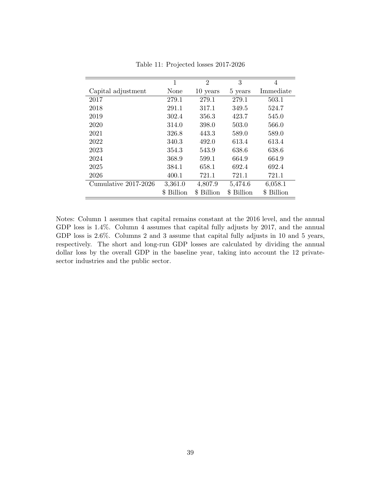<span id="page-41-0"></span>

|                      | 1          | $\overline{2}$ | 3          | 4          |
|----------------------|------------|----------------|------------|------------|
| Capital adjustment   | None       | 10 years       | 5 years    | Immediate  |
| 2017                 | 279.1      | 279.1          | 279.1      | 503.1      |
| 2018                 | 291.1      | 317.1          | 349.5      | 524.7      |
| 2019                 | 302.4      | 356.3          | 423.7      | 545.0      |
| 2020                 | 314.0      | 398.0          | 503.0      | 566.0      |
| 2021                 | 326.8      | 443.3          | 589.0      | 589.0      |
| 2022                 | 340.3      | 492.0          | 613.4      | 613.4      |
| 2023                 | 354.3      | 543.9          | 638.6      | 638.6      |
| 2024                 | 368.9      | 599.1          | 664.9      | 664.9      |
| 2025                 | 384.1      | 658.1          | 692.4      | 692.4      |
| 2026                 | 400.1      | 721.1          | 721.1      | 721.1      |
| Cumulative 2017-2026 | 3,361.0    | 4,807.9        | 5,474.6    | 6,058.1    |
|                      | \$ Billion | \$ Billion     | \$ Billion | \$ Billion |

Table 11: Projected losses 2017-2026

Notes: Column 1 assumes that capital remains constant at the 2016 level, and the annual GDP loss is 1.4%. Column 4 assumes that capital fully adjusts by 2017, and the annual GDP loss is 2.6%. Columns 2 and 3 assume that capital fully adjusts in 10 and 5 years, respectively. The short and long-run GDP losses are calculated by dividing the annual dollar loss by the overall GDP in the baseline year, taking into account the 12 privatesector industries and the public sector.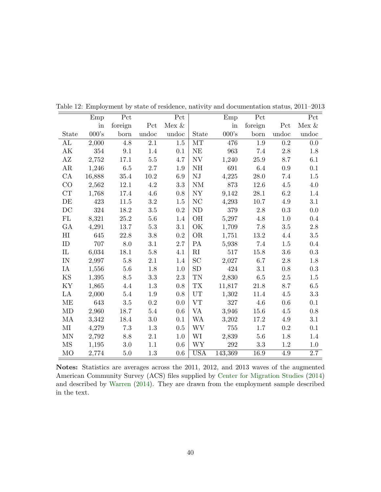|                     | Emp    | Pct     |         | Pct       |               | Emp     | Pct      |       | Pct      |
|---------------------|--------|---------|---------|-----------|---------------|---------|----------|-------|----------|
|                     | in     | foreign | Pct     | Mex $\&$  |               | in      | foreign  | Pct   | Mex $\&$ |
| State               | 000's  | born    | undoc   | undoc     | <b>State</b>  | 000's   | born     | undoc | undoc    |
| AL                  | 2,000  | 4.8     | 2.1     | $1.5\,$   | MT            | 476     | $1.9\,$  | 0.2   | 0.0      |
| AK                  | 354    | 9.1     | 1.4     | 0.1       | <b>NE</b>     | 963     | 7.4      | 2.8   | 1.8      |
| AZ                  | 2,752  | 17.1    | $5.5\,$ | 4.7       | NV            | 1,240   | 25.9     | 8.7   | 6.1      |
| AR                  | 1,246  | $6.5\,$ | $2.7\,$ | 1.9       | <b>NH</b>     | 691     | 6.4      | 0.9   | 0.1      |
| $\rm CA$            | 16,888 | 35.4    | 10.2    | 6.9       | ${\rm NJ}$    | 4,225   | $28.0\,$ | 7.4   | 1.5      |
| CO                  | 2,562  | 12.1    | 4.2     | 3.3       | $\mathrm{NM}$ | 873     | 12.6     | 4.5   | 4.0      |
| CT                  | 1,768  | 17.4    | 4.6     | 0.8       | NY            | 9,142   | $28.1\,$ | 6.2   | 1.4      |
| DE                  | 423    | 11.5    | $3.2\,$ | 1.5       | NC            | 4,293   | 10.7     | 4.9   | 3.1      |
| DC                  | 324    | 18.2    | $3.5\,$ | $\rm 0.2$ | <b>ND</b>     | 379     | 2.8      | 0.3   | 0.0      |
| FL                  | 8,321  | 25.2    | 5.6     | 1.4       | OH            | 5,297   | 4.8      | 1.0   | 0.4      |
| GA                  | 4,291  | 13.7    | 5.3     | 3.1       | OK            | 1,709   | 7.8      | 3.5   | 2.8      |
| $_{\rm HI}$         | 645    | 22.8    | $3.8\,$ | $\rm 0.2$ | <b>OR</b>     | 1,751   | 13.2     | 4.4   | $3.5\,$  |
| ID                  | 707    | $8.0\,$ | 3.1     | 2.7       | PA            | 5,938   | 7.4      | 1.5   | 0.4      |
| $_{\rm IL}$         | 6,034  | 18.1    | 5.8     | 4.1       | $\rm RI$      | 517     | 15.8     | 3.6   | 0.3      |
| IN                  | 2,997  | $5.8\,$ | 2.1     | 1.4       | SC            | 2,027   | 6.7      | 2.8   | 1.8      |
| IA                  | 1,556  | 5.6     | 1.8     | 1.0       | SD            | 424     | 3.1      | 0.8   | 0.3      |
| KS                  | 1,395  | $8.5\,$ | $3.3\,$ | $2.3\,$   | TN            | 2,830   | 6.5      | 2.5   | $1.5\,$  |
| KY                  | 1,865  | 4.4     | 1.3     | 0.8       | <b>TX</b>     | 11,817  | 21.8     | 8.7   | $6.5\,$  |
| LA                  | 2,000  | 5.4     | 1.9     | 0.8       | UT            | 1,302   | 11.4     | 4.5   | 3.3      |
| МE                  | 643    | 3.5     | 0.2     | 0.0       | <b>VT</b>     | 327     | 4.6      | 0.6   | 0.1      |
| MD                  | 2,960  | 18.7    | 5.4     | 0.6       | VA            | 3,946   | 15.6     | 4.5   | 0.8      |
| MA                  | 3,342  | 18.4    | 3.0     | 0.1       | <b>WA</b>     | 3,202   | 17.2     | 4.9   | 3.1      |
| ΜΙ                  | 4,279  | 7.3     | 1.3     | 0.5       | <b>WV</b>     | 755     | 1.7      | 0.2   | 0.1      |
| MN                  | 2,792  | 8.8     | 2.1     | 1.0       | WI            | 2,839   | 5.6      | 1.8   | 1.4      |
| $\overline{\rm MS}$ | 1,195  | 3.0     | 1.1     | 0.6       | <b>WY</b>     | 292     | 3.3      | 1.2   | 1.0      |
| MO                  | 2,774  | 5.0     | 1.3     | 0.6       | <b>USA</b>    | 143,369 | 16.9     | 4.9   | 2.7      |

<span id="page-42-0"></span>Table 12: Employment by state of residence, nativity and documentation status, 2011–2013

Notes: Statistics are averages across the 2011, 2012, and 2013 waves of the augmented American Community Survey (ACS) files supplied by [Center for Migration Studies](#page-30-1) [\(2014\)](#page-30-1) and described by [Warren](#page-31-7) [\(2014\)](#page-31-7). They are drawn from the employment sample described in the text.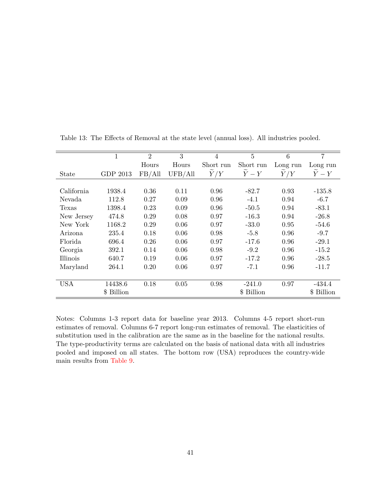|            | 1          | $\overline{2}$ | 3       | 4             | 5                   | 6             | 7                   |
|------------|------------|----------------|---------|---------------|---------------------|---------------|---------------------|
|            |            | Hours          | Hours   | Short run     | Short run           | Long run      | Long run            |
| State      | GDP 2013   | FB/All         | UFB/All | $\tilde{Y}/Y$ | $\widetilde{Y} - Y$ | $\tilde{Y}/Y$ | $\widetilde{Y} - Y$ |
|            |            |                |         |               |                     |               |                     |
| California | 1938.4     | 0.36           | 0.11    | 0.96          | $-82.7$             | 0.93          | $-135.8$            |
| Nevada     | 112.8      | 0.27           | 0.09    | 0.96          | $-4.1$              | 0.94          | $-6.7$              |
| Texas      | 1398.4     | 0.23           | 0.09    | 0.96          | $-50.5$             | 0.94          | $-83.1$             |
| New Jersey | 474.8      | 0.29           | 0.08    | 0.97          | $-16.3$             | 0.94          | $-26.8$             |
| New York   | 1168.2     | 0.29           | 0.06    | 0.97          | $-33.0$             | 0.95          | $-54.6$             |
| Arizona    | 235.4      | 0.18           | 0.06    | 0.98          | $-5.8$              | 0.96          | $-9.7$              |
| Florida    | 696.4      | 0.26           | 0.06    | 0.97          | $-17.6$             | 0.96          | $-29.1$             |
| Georgia    | 392.1      | 0.14           | 0.06    | 0.98          | $-9.2$              | 0.96          | $-15.2$             |
| Illinois   | 640.7      | 0.19           | 0.06    | 0.97          | $-17.2$             | 0.96          | $-28.5$             |
| Maryland   | 264.1      | 0.20           | 0.06    | 0.97          | $-7.1$              | 0.96          | $-11.7$             |
|            |            |                |         |               |                     |               |                     |
| <b>USA</b> | 14438.6    | 0.18           | 0.05    | 0.98          | $-241.0$            | 0.97          | $-434.4$            |
|            | \$ Billion |                |         |               | \$ Billion          |               | \$ Billion          |

<span id="page-43-0"></span>Table 13: The Effects of Removal at the state level (annual loss). All industries pooled.

Notes: Columns 1-3 report data for baseline year 2013. Columns 4-5 report short-run estimates of removal. Columns 6-7 report long-run estimates of removal. The elasticities of substitution used in the calibration are the same as in the baseline for the national results. The type-productivity terms are calculated on the basis of national data with all industries pooled and imposed on all states. The bottom row (USA) reproduces the country-wide main results from [Table 9.](#page-39-0)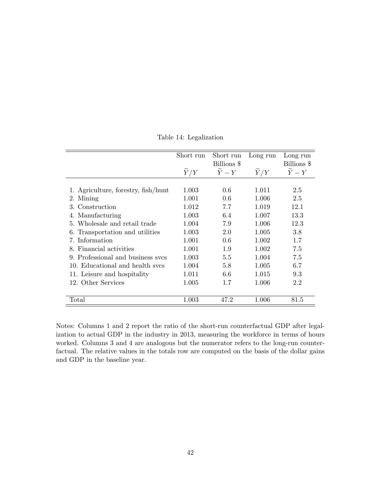<span id="page-44-0"></span>

|                                     | Short run | Short run                     | Long run | Long run    |
|-------------------------------------|-----------|-------------------------------|----------|-------------|
|                                     |           | Billions \$                   |          | Billions \$ |
|                                     | Y/Y       | $\overline{Y} - \overline{Y}$ | Y/Y      | $Y-Y$       |
|                                     |           |                               |          |             |
| 1. Agriculture, forestry, fish/hunt | 1.003     | 0.6                           | 1.011    | 2.5         |
| 2. Mining                           | 1.001     | 0.6                           | 1.006    | 2.5         |
| 3. Construction                     | 1.012     | 7.7                           | 1.019    | 12.1        |
| 4. Manufacturing                    | 1.003     | 6.4                           | 1.007    | 13.3        |
| 5. Wholesale and retail trade       | 1.004     | 7.9                           | 1.006    | 12.3        |
| 6. Transportation and utilities     | 1.003     | 2.0                           | 1.005    | 3.8         |
| 7. Information                      | 1.001     | 0.6                           | 1.002    | 1.7         |
| 8. Financial activities             | 1.001     | 1.9                           | 1.002    | 7.5         |
| 9. Professional and business sycs   | 1.003     | 5.5                           | 1.004    | 7.5         |
| 10. Educational and health sycs     | 1.004     | 5.8                           | 1.005    | 6.7         |
| 11. Leisure and hospitality         | 1.011     | 6.6                           | 1.015    | 9.3         |
| 12. Other Services                  | 1.005     | 1.7                           | 1.006    | 2.2         |
|                                     |           |                               |          |             |
| Total                               | 1.003     | 47.2                          | 1.006    | 81.5        |

Table 14: Legalization

Notes: Columns 1 and 2 report the ratio of the short-run counterfactual GDP after legalization to actual GDP in the industry in 2013, measuring the workforce in terms of hours worked. Columns 3 and 4 are analogous but the numerator refers to the long-run counterfactual. The relative values in the totals row are computed on the basis of the dollar gains and GDP in the baseline year.